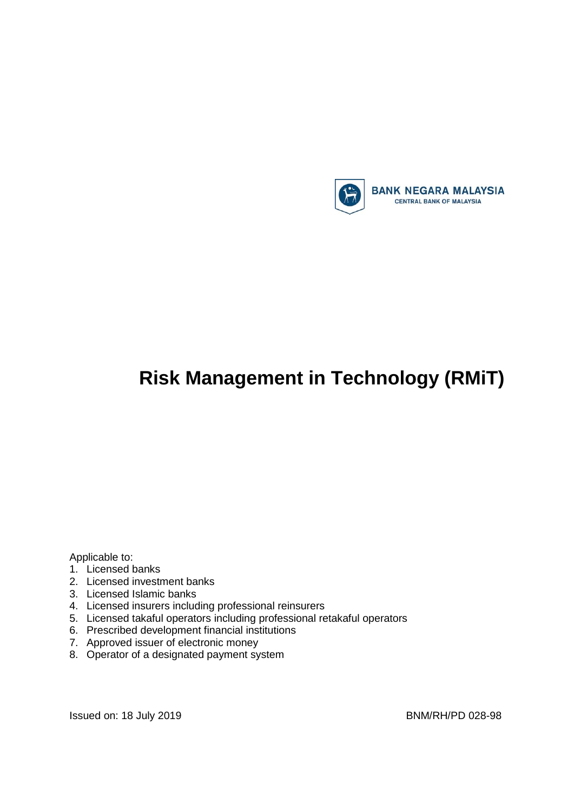

# **Risk Management in Technology (RMiT)**

Applicable to:

- 1. Licensed banks
- 2. Licensed investment banks
- 3. Licensed Islamic banks
- 4. Licensed insurers including professional reinsurers
- 5. Licensed takaful operators including professional retakaful operators
- 6. Prescribed development financial institutions
- 7. Approved issuer of electronic money
- 8. Operator of a designated payment system

Issued on: 18 July 2019 **BNM/RH/PD 028-98**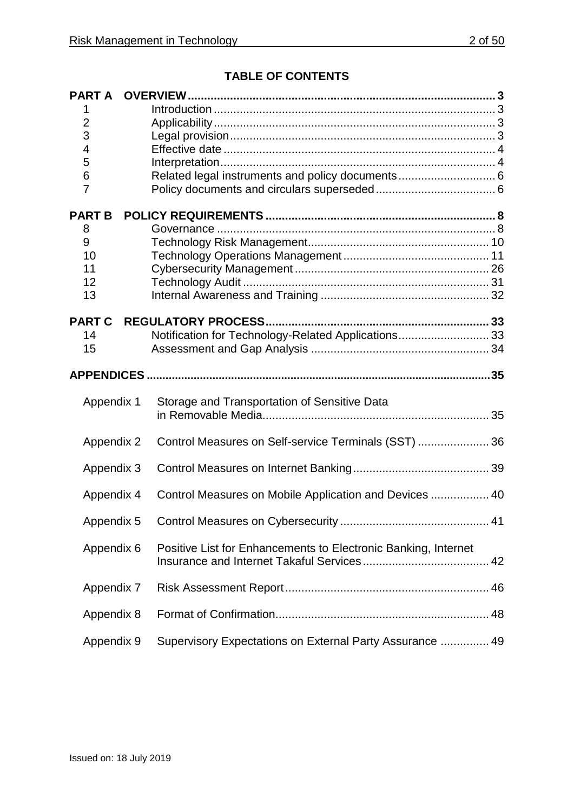## **TABLE OF CONTENTS**

| <b>PART A</b>  |                                                                |  |
|----------------|----------------------------------------------------------------|--|
|                |                                                                |  |
| $\overline{2}$ |                                                                |  |
| 3<br>4         |                                                                |  |
| 5              |                                                                |  |
| 6              | Related legal instruments and policy documents 6               |  |
| 7              |                                                                |  |
|                |                                                                |  |
| <b>PART B</b>  |                                                                |  |
| 8              |                                                                |  |
| 9              |                                                                |  |
| 10<br>11       |                                                                |  |
| 12             |                                                                |  |
| 13             |                                                                |  |
|                |                                                                |  |
| <b>PART C</b>  |                                                                |  |
| 14             | Notification for Technology-Related Applications 33            |  |
| 15             |                                                                |  |
|                |                                                                |  |
| Appendix 1     | Storage and Transportation of Sensitive Data                   |  |
| Appendix 2     | Control Measures on Self-service Terminals (SST)  36           |  |
| Appendix 3     |                                                                |  |
| Appendix 4     | Control Measures on Mobile Application and Devices  40         |  |
|                |                                                                |  |
| Appendix 6     | Positive List for Enhancements to Electronic Banking, Internet |  |
| Appendix 7     |                                                                |  |
| Appendix 8     |                                                                |  |
| Appendix 9     | Supervisory Expectations on External Party Assurance  49       |  |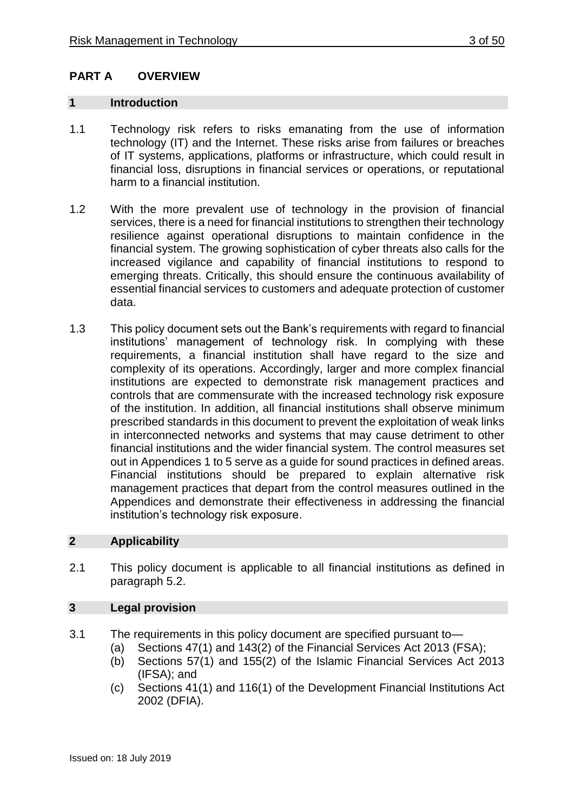## <span id="page-2-0"></span>**PART A OVERVIEW**

#### <span id="page-2-1"></span>**1 Introduction**

- 1.1 Technology risk refers to risks emanating from the use of information technology (IT) and the Internet. These risks arise from failures or breaches of IT systems, applications, platforms or infrastructure, which could result in financial loss, disruptions in financial services or operations, or reputational harm to a financial institution.
- 1.2 With the more prevalent use of technology in the provision of financial services, there is a need for financial institutions to strengthen their technology resilience against operational disruptions to maintain confidence in the financial system. The growing sophistication of cyber threats also calls for the increased vigilance and capability of financial institutions to respond to emerging threats. Critically, this should ensure the continuous availability of essential financial services to customers and adequate protection of customer data.
- 1.3 This policy document sets out the Bank's requirements with regard to financial institutions' management of technology risk. In complying with these requirements, a financial institution shall have regard to the size and complexity of its operations. Accordingly, larger and more complex financial institutions are expected to demonstrate risk management practices and controls that are commensurate with the increased technology risk exposure of the institution. In addition, all financial institutions shall observe minimum prescribed standards in this document to prevent the exploitation of weak links in interconnected networks and systems that may cause detriment to other financial institutions and the wider financial system. The control measures set out in Appendices 1 to 5 serve as a guide for sound practices in defined areas. Financial institutions should be prepared to explain alternative risk management practices that depart from the control measures outlined in the Appendices and demonstrate their effectiveness in addressing the financial institution's technology risk exposure.

## <span id="page-2-2"></span>**2 Applicability**

2.1 This policy document is applicable to all financial institutions as defined in paragraph 5.2.

## <span id="page-2-3"></span>**3 Legal provision**

- 3.1 The requirements in this policy document are specified pursuant to—
	- (a) Sections 47(1) and 143(2) of the Financial Services Act 2013 (FSA);
	- (b) Sections 57(1) and 155(2) of the Islamic Financial Services Act 2013 (IFSA); and
	- (c) Sections 41(1) and 116(1) of the Development Financial Institutions Act 2002 (DFIA).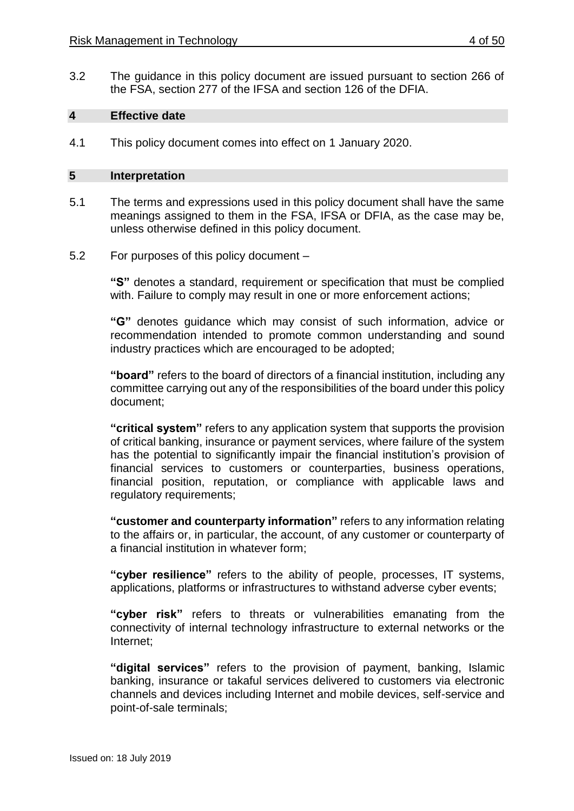3.2 The guidance in this policy document are issued pursuant to section 266 of the FSA, section 277 of the IFSA and section 126 of the DFIA.

#### <span id="page-3-0"></span>**4 Effective date**

4.1 This policy document comes into effect on 1 January 2020.

#### <span id="page-3-1"></span>**5 Interpretation**

- 5.1 The terms and expressions used in this policy document shall have the same meanings assigned to them in the FSA, IFSA or DFIA, as the case may be, unless otherwise defined in this policy document.
- 5.2 For purposes of this policy document –

**"S"** denotes a standard, requirement or specification that must be complied with. Failure to comply may result in one or more enforcement actions;

**"G"** denotes guidance which may consist of such information, advice or recommendation intended to promote common understanding and sound industry practices which are encouraged to be adopted;

**"board"** refers to the board of directors of a financial institution, including any committee carrying out any of the responsibilities of the board under this policy document;

**"critical system"** refers to any application system that supports the provision of critical banking, insurance or payment services, where failure of the system has the potential to significantly impair the financial institution's provision of financial services to customers or counterparties, business operations, financial position, reputation, or compliance with applicable laws and regulatory requirements;

**"customer and counterparty information"** refers to any information relating to the affairs or, in particular, the account, of any customer or counterparty of a financial institution in whatever form;

**"cyber resilience"** refers to the ability of people, processes, IT systems, applications, platforms or infrastructures to withstand adverse cyber events;

**"cyber risk"** refers to threats or vulnerabilities emanating from the connectivity of internal technology infrastructure to external networks or the Internet;

**"digital services"** refers to the provision of payment, banking, Islamic banking, insurance or takaful services delivered to customers via electronic channels and devices including Internet and mobile devices, self-service and point-of-sale terminals;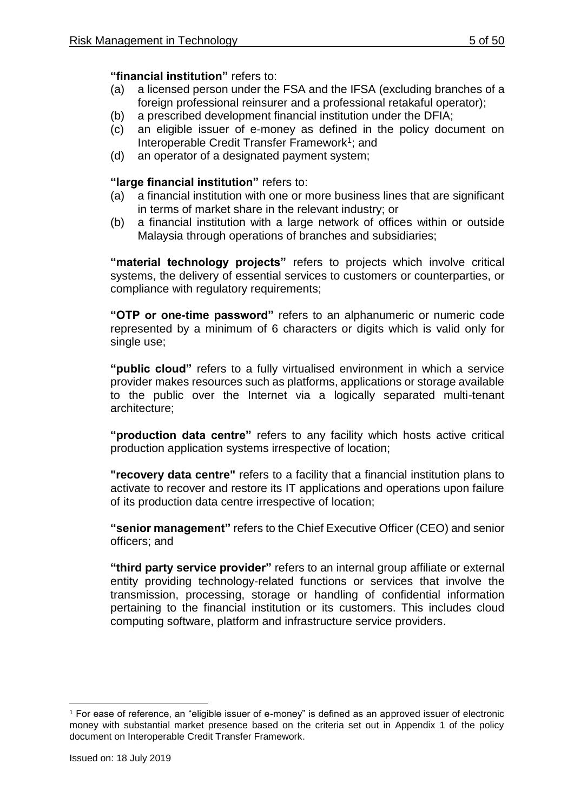## **"financial institution"** refers to:

- (a) a licensed person under the FSA and the IFSA (excluding branches of a foreign professional reinsurer and a professional retakaful operator);
- (b) a prescribed development financial institution under the DFIA;
- (c) an eligible issuer of e-money as defined in the policy document on Interoperable Credit Transfer Framework<sup>1</sup>; and
- (d) an operator of a designated payment system;

## **"large financial institution"** refers to:

- (a) a financial institution with one or more business lines that are significant in terms of market share in the relevant industry; or
- (b) a financial institution with a large network of offices within or outside Malaysia through operations of branches and subsidiaries;

**"material technology projects"** refers to projects which involve critical systems, the delivery of essential services to customers or counterparties, or compliance with regulatory requirements;

**"OTP or one-time password"** refers to an alphanumeric or numeric code represented by a minimum of 6 characters or digits which is valid only for single use;

**"public cloud"** refers to a fully virtualised environment in which a service provider makes resources such as platforms, applications or storage available to the public over the Internet via a logically separated multi-tenant architecture;

**"production data centre"** refers to any facility which hosts active critical production application systems irrespective of location;

**"recovery data centre"** refers to a facility that a financial institution plans to activate to recover and restore its IT applications and operations upon failure of its production data centre irrespective of location;

**"senior management"** refers to the Chief Executive Officer (CEO) and senior officers; and

**"third party service provider"** refers to an internal group affiliate or external entity providing technology-related functions or services that involve the transmission, processing, storage or handling of confidential information pertaining to the financial institution or its customers. This includes cloud computing software, platform and infrastructure service providers.

 $\overline{a}$ <sup>1</sup> For ease of reference, an "eligible issuer of e-money" is defined as an approved issuer of electronic money with substantial market presence based on the criteria set out in Appendix 1 of the policy document on Interoperable Credit Transfer Framework.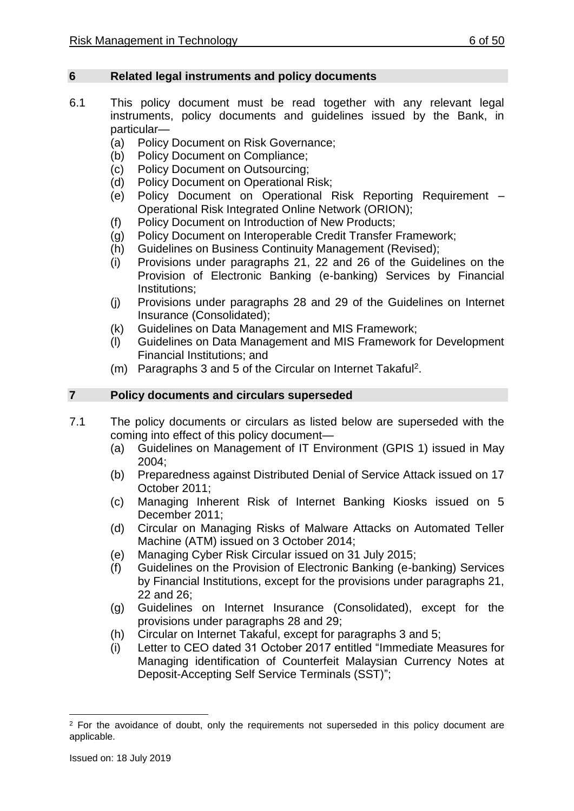#### <span id="page-5-0"></span>**6 Related legal instruments and policy documents**

- 6.1 This policy document must be read together with any relevant legal instruments, policy documents and guidelines issued by the Bank, in particular—
	- (a) Policy Document on Risk Governance;
	- (b) Policy Document on Compliance;
	- (c) Policy Document on Outsourcing;
	- (d) Policy Document on Operational Risk;
	- (e) Policy Document on Operational Risk Reporting Requirement Operational Risk Integrated Online Network (ORION);
	- (f) Policy Document on Introduction of New Products;
	- (g) Policy Document on Interoperable Credit Transfer Framework;
	- (h) Guidelines on Business Continuity Management (Revised);
	- (i) Provisions under paragraphs 21, 22 and 26 of the Guidelines on the Provision of Electronic Banking (e-banking) Services by Financial Institutions;
	- (j) Provisions under paragraphs 28 and 29 of the Guidelines on Internet Insurance (Consolidated);
	- (k) Guidelines on Data Management and MIS Framework;
	- (l) Guidelines on Data Management and MIS Framework for Development Financial Institutions; and
	- (m) Paragraphs 3 and 5 of the Circular on Internet Takaful<sup>2</sup>.

## <span id="page-5-1"></span>**7 Policy documents and circulars superseded**

- 7.1 The policy documents or circulars as listed below are superseded with the coming into effect of this policy document—
	- (a) Guidelines on Management of IT Environment (GPIS 1) issued in May 2004;
	- (b) Preparedness against Distributed Denial of Service Attack issued on 17 October 2011;
	- (c) Managing Inherent Risk of Internet Banking Kiosks issued on 5 December 2011;
	- (d) Circular on Managing Risks of Malware Attacks on Automated Teller Machine (ATM) issued on 3 October 2014;
	- (e) Managing Cyber Risk Circular issued on 31 July 2015;
	- (f) Guidelines on the Provision of Electronic Banking (e-banking) Services by Financial Institutions, except for the provisions under paragraphs 21, 22 and 26;
	- (g) Guidelines on Internet Insurance (Consolidated), except for the provisions under paragraphs 28 and 29;
	- (h) Circular on Internet Takaful, except for paragraphs 3 and 5;
	- (i) Letter to CEO dated 31 October 2017 entitled "Immediate Measures for Managing identification of Counterfeit Malaysian Currency Notes at Deposit-Accepting Self Service Terminals (SST)";

1

<sup>&</sup>lt;sup>2</sup> For the avoidance of doubt, only the requirements not superseded in this policy document are applicable.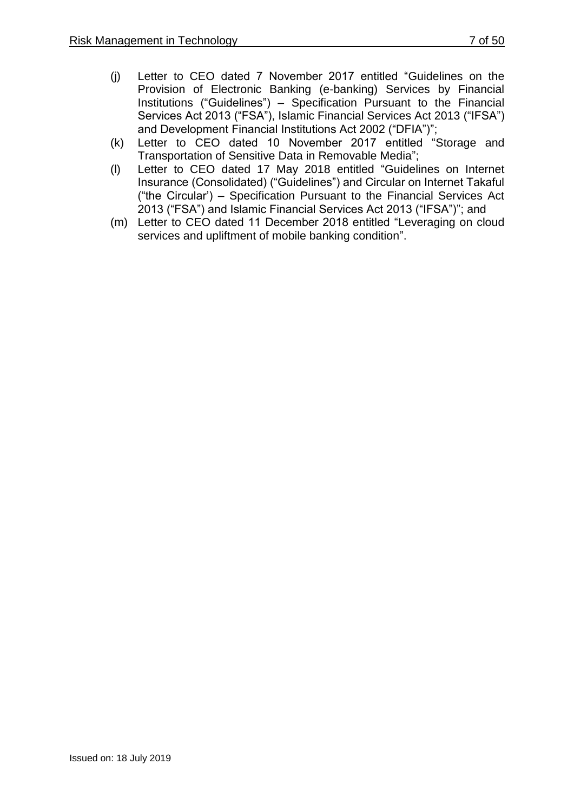- (j) Letter to CEO dated 7 November 2017 entitled "Guidelines on the Provision of Electronic Banking (e-banking) Services by Financial Institutions ("Guidelines") – Specification Pursuant to the Financial Services Act 2013 ("FSA"), Islamic Financial Services Act 2013 ("IFSA") and Development Financial Institutions Act 2002 ("DFIA")";
- (k) Letter to CEO dated 10 November 2017 entitled "Storage and Transportation of Sensitive Data in Removable Media";
- (l) Letter to CEO dated 17 May 2018 entitled "Guidelines on Internet Insurance (Consolidated) ("Guidelines") and Circular on Internet Takaful ("the Circular') – Specification Pursuant to the Financial Services Act 2013 ("FSA") and Islamic Financial Services Act 2013 ("IFSA")"; and
- (m) Letter to CEO dated 11 December 2018 entitled "Leveraging on cloud services and upliftment of mobile banking condition".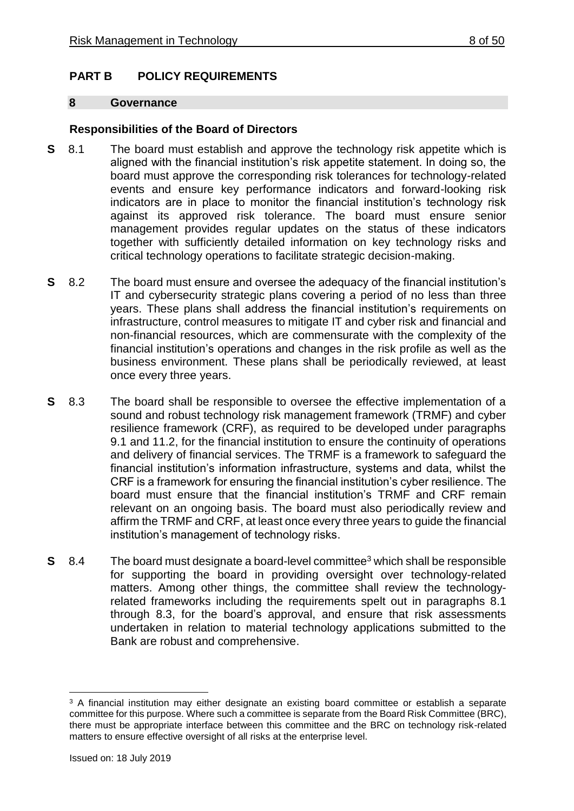## <span id="page-7-0"></span>**PART B POLICY REQUIREMENTS**

#### <span id="page-7-1"></span>**8 Governance**

## **Responsibilities of the Board of Directors**

- **S** 8.1 The board must establish and approve the technology risk appetite which is aligned with the financial institution's risk appetite statement. In doing so, the board must approve the corresponding risk tolerances for technology-related events and ensure key performance indicators and forward-looking risk indicators are in place to monitor the financial institution's technology risk against its approved risk tolerance. The board must ensure senior management provides regular updates on the status of these indicators together with sufficiently detailed information on key technology risks and critical technology operations to facilitate strategic decision-making.
- **S** 8.2 The board must ensure and oversee the adequacy of the financial institution's IT and cybersecurity strategic plans covering a period of no less than three years. These plans shall address the financial institution's requirements on infrastructure, control measures to mitigate IT and cyber risk and financial and non-financial resources, which are commensurate with the complexity of the financial institution's operations and changes in the risk profile as well as the business environment. These plans shall be periodically reviewed, at least once every three years.
- **S** 8.3 The board shall be responsible to oversee the effective implementation of a sound and robust technology risk management framework (TRMF) and cyber resilience framework (CRF), as required to be developed under paragraphs 9.1 and 11.2, for the financial institution to ensure the continuity of operations and delivery of financial services. The TRMF is a framework to safeguard the financial institution's information infrastructure, systems and data, whilst the CRF is a framework for ensuring the financial institution's cyber resilience. The board must ensure that the financial institution's TRMF and CRF remain relevant on an ongoing basis. The board must also periodically review and affirm the TRMF and CRF, at least once every three years to guide the financial institution's management of technology risks.
- **S** 8.4 The board must designate a board-level committee<sup>3</sup> which shall be responsible for supporting the board in providing oversight over technology-related matters. Among other things, the committee shall review the technologyrelated frameworks including the requirements spelt out in paragraphs 8.1 through 8.3, for the board's approval, and ensure that risk assessments undertaken in relation to material technology applications submitted to the Bank are robust and comprehensive.

<sup>1</sup> <sup>3</sup> A financial institution may either designate an existing board committee or establish a separate committee for this purpose. Where such a committee is separate from the Board Risk Committee (BRC), there must be appropriate interface between this committee and the BRC on technology risk-related matters to ensure effective oversight of all risks at the enterprise level.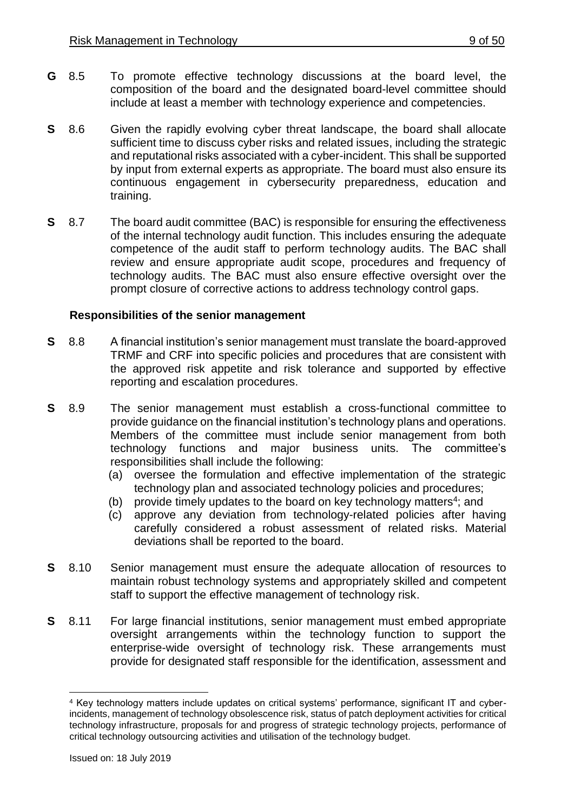- **G** 8.5 To promote effective technology discussions at the board level, the composition of the board and the designated board-level committee should include at least a member with technology experience and competencies.
- **S** 8.6 Given the rapidly evolving cyber threat landscape, the board shall allocate sufficient time to discuss cyber risks and related issues, including the strategic and reputational risks associated with a cyber-incident. This shall be supported by input from external experts as appropriate. The board must also ensure its continuous engagement in cybersecurity preparedness, education and training.
- **S** 8.7 The board audit committee (BAC) is responsible for ensuring the effectiveness of the internal technology audit function. This includes ensuring the adequate competence of the audit staff to perform technology audits. The BAC shall review and ensure appropriate audit scope, procedures and frequency of technology audits. The BAC must also ensure effective oversight over the prompt closure of corrective actions to address technology control gaps.

## **Responsibilities of the senior management**

- **S** 8.8 A financial institution's senior management must translate the board-approved TRMF and CRF into specific policies and procedures that are consistent with the approved risk appetite and risk tolerance and supported by effective reporting and escalation procedures.
- **S** 8.9 The senior management must establish a cross-functional committee to provide guidance on the financial institution's technology plans and operations. Members of the committee must include senior management from both technology functions and major business units. The committee's responsibilities shall include the following:
	- (a) oversee the formulation and effective implementation of the strategic technology plan and associated technology policies and procedures;
	- (b) provide timely updates to the board on key technology matters<sup>4</sup>; and
	- (c) approve any deviation from technology-related policies after having carefully considered a robust assessment of related risks. Material deviations shall be reported to the board.
- **S** 8.10 Senior management must ensure the adequate allocation of resources to maintain robust technology systems and appropriately skilled and competent staff to support the effective management of technology risk.
- **S** 8.11 For large financial institutions, senior management must embed appropriate oversight arrangements within the technology function to support the enterprise-wide oversight of technology risk. These arrangements must provide for designated staff responsible for the identification, assessment and

1

<sup>4</sup> Key technology matters include updates on critical systems' performance, significant IT and cyberincidents, management of technology obsolescence risk, status of patch deployment activities for critical technology infrastructure, proposals for and progress of strategic technology projects, performance of critical technology outsourcing activities and utilisation of the technology budget.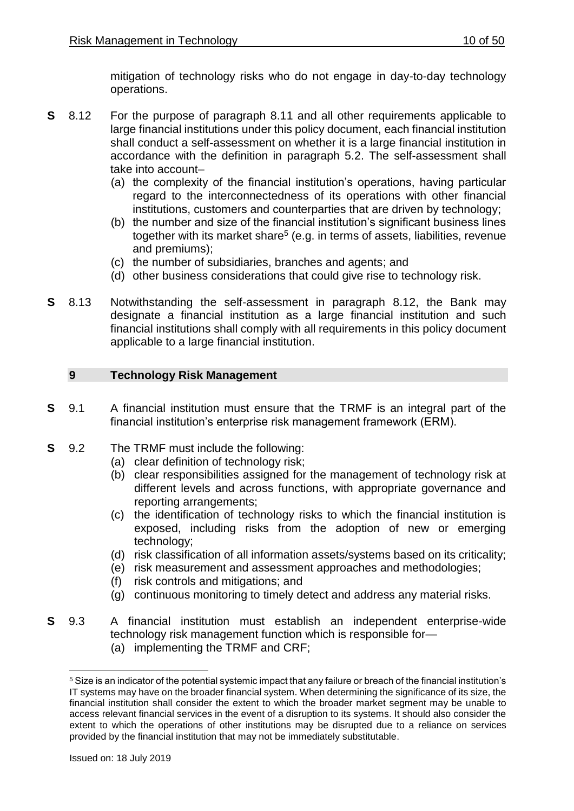mitigation of technology risks who do not engage in day-to-day technology operations.

- **S** 8.12 For the purpose of paragraph 8.11 and all other requirements applicable to large financial institutions under this policy document, each financial institution shall conduct a self-assessment on whether it is a large financial institution in accordance with the definition in paragraph 5.2. The self-assessment shall take into account–
	- (a) the complexity of the financial institution's operations, having particular regard to the interconnectedness of its operations with other financial institutions, customers and counterparties that are driven by technology;
	- (b) the number and size of the financial institution's significant business lines together with its market share<sup>5</sup> (e.g. in terms of assets, liabilities, revenue and premiums);
	- (c) the number of subsidiaries, branches and agents; and
	- (d) other business considerations that could give rise to technology risk.
- **S** 8.13 Notwithstanding the self-assessment in paragraph 8.12, the Bank may designate a financial institution as a large financial institution and such financial institutions shall comply with all requirements in this policy document applicable to a large financial institution.

## <span id="page-9-0"></span>**9 Technology Risk Management**

- **S** 9.1 A financial institution must ensure that the TRMF is an integral part of the financial institution's enterprise risk management framework (ERM).
- **S** 9.2 The TRMF must include the following:
	- (a) clear definition of technology risk;
	- (b) clear responsibilities assigned for the management of technology risk at different levels and across functions, with appropriate governance and reporting arrangements;
	- (c) the identification of technology risks to which the financial institution is exposed, including risks from the adoption of new or emerging technology;
	- (d) risk classification of all information assets/systems based on its criticality;
	- (e) risk measurement and assessment approaches and methodologies;
	- (f) risk controls and mitigations; and
	- (g) continuous monitoring to timely detect and address any material risks.
- **S** 9.3 A financial institution must establish an independent enterprise-wide technology risk management function which is responsible for—
	- (a) implementing the TRMF and CRF;

1

<sup>5</sup> Size is an indicator of the potential systemic impact that any failure or breach of the financial institution's IT systems may have on the broader financial system. When determining the significance of its size, the financial institution shall consider the extent to which the broader market segment may be unable to access relevant financial services in the event of a disruption to its systems. It should also consider the extent to which the operations of other institutions may be disrupted due to a reliance on services provided by the financial institution that may not be immediately substitutable.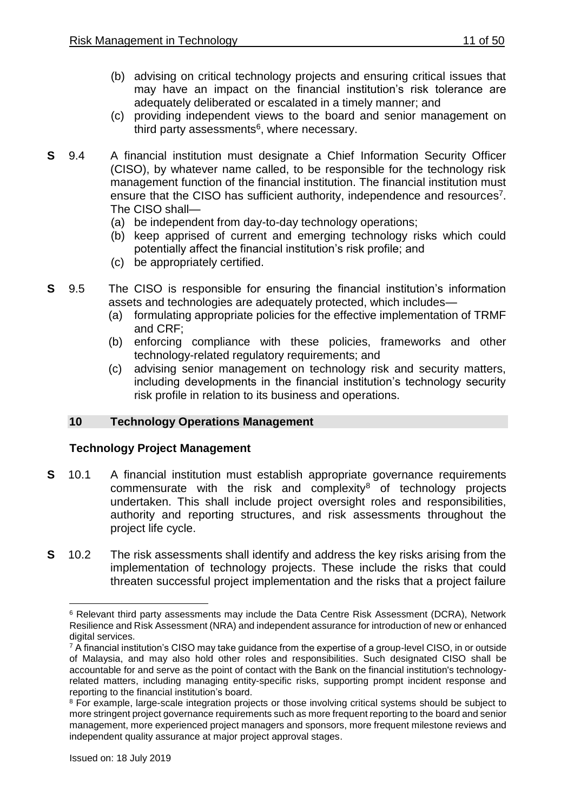- (b) advising on critical technology projects and ensuring critical issues that may have an impact on the financial institution's risk tolerance are adequately deliberated or escalated in a timely manner; and
- (c) providing independent views to the board and senior management on third party assessments<sup>6</sup>, where necessary.
- **S** 9.4 A financial institution must designate a Chief Information Security Officer (CISO), by whatever name called, to be responsible for the technology risk management function of the financial institution. The financial institution must ensure that the CISO has sufficient authority, independence and resources<sup>7</sup>. The CISO shall—
	- (a) be independent from day-to-day technology operations;
	- (b) keep apprised of current and emerging technology risks which could potentially affect the financial institution's risk profile; and
	- (c) be appropriately certified.
- **S** 9.5 The CISO is responsible for ensuring the financial institution's information assets and technologies are adequately protected, which includes—
	- (a) formulating appropriate policies for the effective implementation of TRMF and CRF;
	- (b) enforcing compliance with these policies, frameworks and other technology-related regulatory requirements; and
	- (c) advising senior management on technology risk and security matters, including developments in the financial institution's technology security risk profile in relation to its business and operations.

## <span id="page-10-0"></span>**10 Technology Operations Management**

## **Technology Project Management**

- **S** 10.1 A financial institution must establish appropriate governance requirements commensurate with the risk and complexity $8$  of technology projects undertaken. This shall include project oversight roles and responsibilities, authority and reporting structures, and risk assessments throughout the project life cycle.
- **S** 10.2 The risk assessments shall identify and address the key risks arising from the implementation of technology projects. These include the risks that could threaten successful project implementation and the risks that a project failure

 $\overline{a}$ 

<sup>6</sup> Relevant third party assessments may include the Data Centre Risk Assessment (DCRA), Network Resilience and Risk Assessment (NRA) and independent assurance for introduction of new or enhanced digital services.

<sup>&</sup>lt;sup>7</sup> A financial institution's CISO may take guidance from the expertise of a group-level CISO, in or outside of Malaysia, and may also hold other roles and responsibilities. Such designated CISO shall be accountable for and serve as the point of contact with the Bank on the financial institution's technologyrelated matters, including managing entity-specific risks, supporting prompt incident response and reporting to the financial institution's board.

<sup>&</sup>lt;sup>8</sup> For example, large-scale integration projects or those involving critical systems should be subject to more stringent project governance requirements such as more frequent reporting to the board and senior management, more experienced project managers and sponsors, more frequent milestone reviews and independent quality assurance at major project approval stages.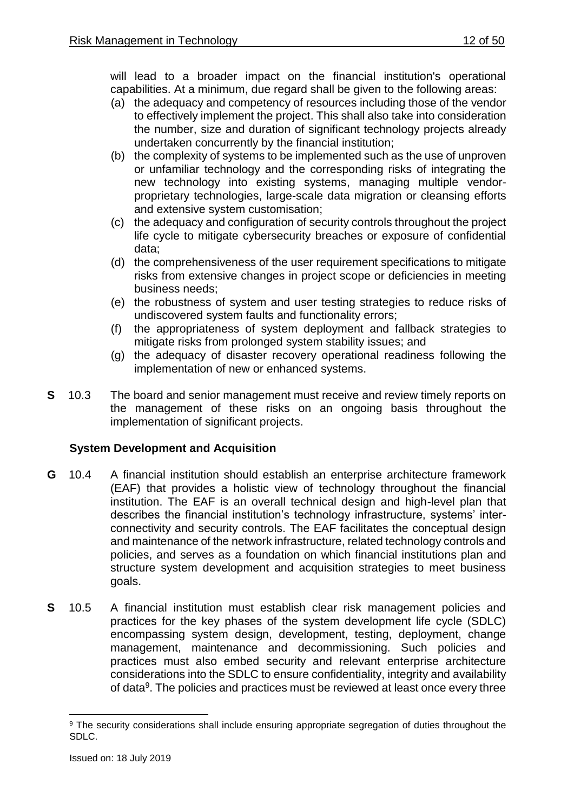will lead to a broader impact on the financial institution's operational capabilities. At a minimum, due regard shall be given to the following areas:

- (a) the adequacy and competency of resources including those of the vendor to effectively implement the project. This shall also take into consideration the number, size and duration of significant technology projects already undertaken concurrently by the financial institution;
- (b) the complexity of systems to be implemented such as the use of unproven or unfamiliar technology and the corresponding risks of integrating the new technology into existing systems, managing multiple vendorproprietary technologies, large-scale data migration or cleansing efforts and extensive system customisation;
- (c) the adequacy and configuration of security controls throughout the project life cycle to mitigate cybersecurity breaches or exposure of confidential data;
- (d) the comprehensiveness of the user requirement specifications to mitigate risks from extensive changes in project scope or deficiencies in meeting business needs;
- (e) the robustness of system and user testing strategies to reduce risks of undiscovered system faults and functionality errors;
- (f) the appropriateness of system deployment and fallback strategies to mitigate risks from prolonged system stability issues; and
- (g) the adequacy of disaster recovery operational readiness following the implementation of new or enhanced systems.
- **S** 10.3 The board and senior management must receive and review timely reports on the management of these risks on an ongoing basis throughout the implementation of significant projects.

## **System Development and Acquisition**

- **G** 10.4 A financial institution should establish an enterprise architecture framework (EAF) that provides a holistic view of technology throughout the financial institution. The EAF is an overall technical design and high-level plan that describes the financial institution's technology infrastructure, systems' interconnectivity and security controls. The EAF facilitates the conceptual design and maintenance of the network infrastructure, related technology controls and policies, and serves as a foundation on which financial institutions plan and structure system development and acquisition strategies to meet business goals.
- **S** 10.5 A financial institution must establish clear risk management policies and practices for the key phases of the system development life cycle (SDLC) encompassing system design, development, testing, deployment, change management, maintenance and decommissioning. Such policies and practices must also embed security and relevant enterprise architecture considerations into the SDLC to ensure confidentiality, integrity and availability of data<sup>9</sup>. The policies and practices must be reviewed at least once every three

<sup>1</sup> <sup>9</sup> The security considerations shall include ensuring appropriate segregation of duties throughout the SDLC.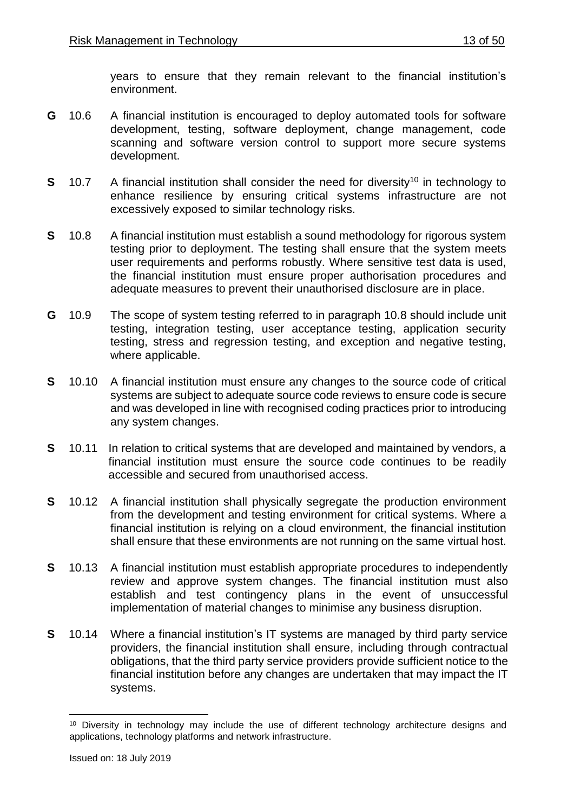years to ensure that they remain relevant to the financial institution's environment.

- **G** 10.6 A financial institution is encouraged to deploy automated tools for software development, testing, software deployment, change management, code scanning and software version control to support more secure systems development.
- **S** 10.7 A financial institution shall consider the need for diversity<sup>10</sup> in technology to enhance resilience by ensuring critical systems infrastructure are not excessively exposed to similar technology risks.
- **S** 10.8 A financial institution must establish a sound methodology for rigorous system testing prior to deployment. The testing shall ensure that the system meets user requirements and performs robustly. Where sensitive test data is used, the financial institution must ensure proper authorisation procedures and adequate measures to prevent their unauthorised disclosure are in place.
- **G** 10.9 The scope of system testing referred to in paragraph 10.8 should include unit testing, integration testing, user acceptance testing, application security testing, stress and regression testing, and exception and negative testing, where applicable.
- **S** 10.10 A financial institution must ensure any changes to the source code of critical systems are subject to adequate source code reviews to ensure code is secure and was developed in line with recognised coding practices prior to introducing any system changes.
- **S** 10.11 In relation to critical systems that are developed and maintained by vendors, a financial institution must ensure the source code continues to be readily accessible and secured from unauthorised access.
- **S** 10.12 A financial institution shall physically segregate the production environment from the development and testing environment for critical systems. Where a financial institution is relying on a cloud environment, the financial institution shall ensure that these environments are not running on the same virtual host.
- **S** 10.13 A financial institution must establish appropriate procedures to independently review and approve system changes. The financial institution must also establish and test contingency plans in the event of unsuccessful implementation of material changes to minimise any business disruption.
- **S** 10.14 Where a financial institution's IT systems are managed by third party service providers, the financial institution shall ensure, including through contractual obligations, that the third party service providers provide sufficient notice to the financial institution before any changes are undertaken that may impact the IT systems.

1

<sup>&</sup>lt;sup>10</sup> Diversity in technology may include the use of different technology architecture designs and applications, technology platforms and network infrastructure.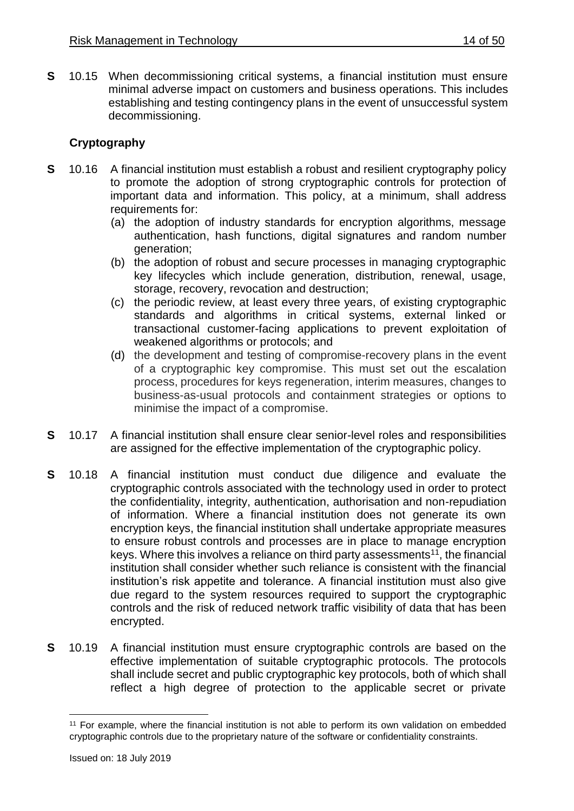**S** 10.15 When decommissioning critical systems, a financial institution must ensure minimal adverse impact on customers and business operations. This includes establishing and testing contingency plans in the event of unsuccessful system decommissioning.

## **Cryptography**

- **S** 10.16 A financial institution must establish a robust and resilient cryptography policy to promote the adoption of strong cryptographic controls for protection of important data and information. This policy, at a minimum, shall address requirements for:
	- (a) the adoption of industry standards for encryption algorithms, message authentication, hash functions, digital signatures and random number generation;
	- (b) the adoption of robust and secure processes in managing cryptographic key lifecycles which include generation, distribution, renewal, usage, storage, recovery, revocation and destruction;
	- (c) the periodic review, at least every three years, of existing cryptographic standards and algorithms in critical systems, external linked or transactional customer-facing applications to prevent exploitation of weakened algorithms or protocols; and
	- (d) the development and testing of compromise-recovery plans in the event of a cryptographic key compromise. This must set out the escalation process, procedures for keys regeneration, interim measures, changes to business-as-usual protocols and containment strategies or options to minimise the impact of a compromise.
- **S** 10.17 A financial institution shall ensure clear senior-level roles and responsibilities are assigned for the effective implementation of the cryptographic policy.
- **S** 10.18 A financial institution must conduct due diligence and evaluate the cryptographic controls associated with the technology used in order to protect the confidentiality, integrity, authentication, authorisation and non-repudiation of information. Where a financial institution does not generate its own encryption keys, the financial institution shall undertake appropriate measures to ensure robust controls and processes are in place to manage encryption keys. Where this involves a reliance on third party assessments<sup>11</sup>, the financial institution shall consider whether such reliance is consistent with the financial institution's risk appetite and tolerance. A financial institution must also give due regard to the system resources required to support the cryptographic controls and the risk of reduced network traffic visibility of data that has been encrypted.
- **S** 10.19 A financial institution must ensure cryptographic controls are based on the effective implementation of suitable cryptographic protocols. The protocols shall include secret and public cryptographic key protocols, both of which shall reflect a high degree of protection to the applicable secret or private

<sup>1</sup> <sup>11</sup> For example, where the financial institution is not able to perform its own validation on embedded cryptographic controls due to the proprietary nature of the software or confidentiality constraints.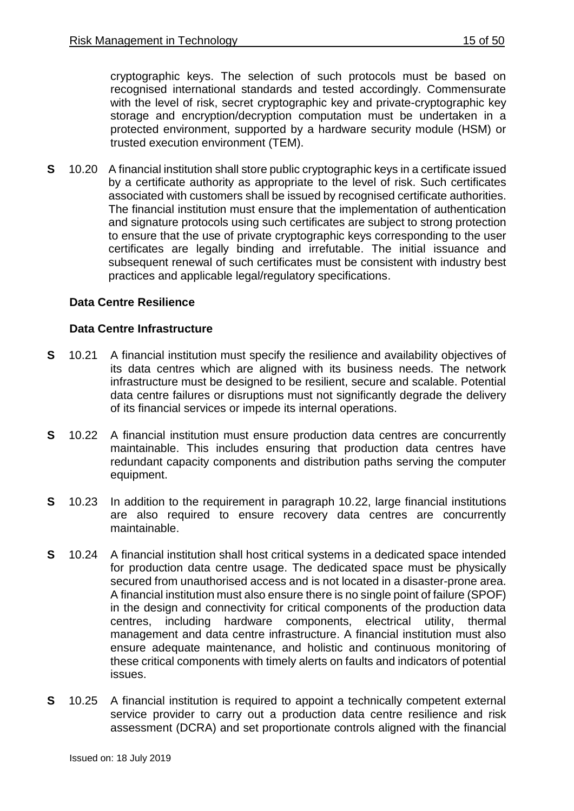cryptographic keys. The selection of such protocols must be based on recognised international standards and tested accordingly. Commensurate with the level of risk, secret cryptographic key and private-cryptographic key storage and encryption/decryption computation must be undertaken in a protected environment, supported by a hardware security module (HSM) or trusted execution environment (TEM).

**S** 10.20 A financial institution shall store public cryptographic keys in a certificate issued by a certificate authority as appropriate to the level of risk. Such certificates associated with customers shall be issued by recognised certificate authorities. The financial institution must ensure that the implementation of authentication and signature protocols using such certificates are subject to strong protection to ensure that the use of private cryptographic keys corresponding to the user certificates are legally binding and irrefutable. The initial issuance and subsequent renewal of such certificates must be consistent with industry best practices and applicable legal/regulatory specifications.

## **Data Centre Resilience**

#### **Data Centre Infrastructure**

- **S** 10.21 A financial institution must specify the resilience and availability objectives of its data centres which are aligned with its business needs. The network infrastructure must be designed to be resilient, secure and scalable. Potential data centre failures or disruptions must not significantly degrade the delivery of its financial services or impede its internal operations.
- **S** 10.22 A financial institution must ensure production data centres are concurrently maintainable. This includes ensuring that production data centres have redundant capacity components and distribution paths serving the computer equipment.
- **S** 10.23 In addition to the requirement in paragraph 10.22, large financial institutions are also required to ensure recovery data centres are concurrently maintainable.
- **S** 10.24 A financial institution shall host critical systems in a dedicated space intended for production data centre usage. The dedicated space must be physically secured from unauthorised access and is not located in a disaster-prone area. A financial institution must also ensure there is no single point of failure (SPOF) in the design and connectivity for critical components of the production data centres, including hardware components, electrical utility, thermal management and data centre infrastructure. A financial institution must also ensure adequate maintenance, and holistic and continuous monitoring of these critical components with timely alerts on faults and indicators of potential issues.
- **S** 10.25 A financial institution is required to appoint a technically competent external service provider to carry out a production data centre resilience and risk assessment (DCRA) and set proportionate controls aligned with the financial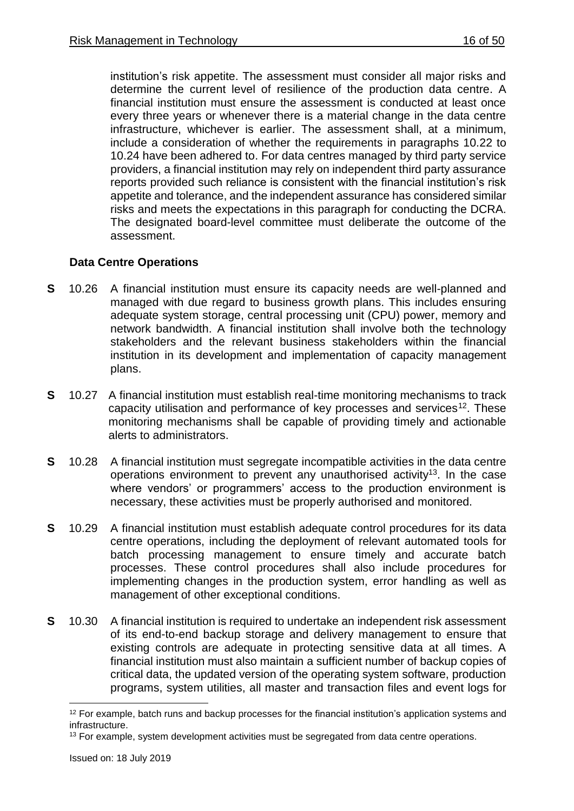institution's risk appetite. The assessment must consider all major risks and determine the current level of resilience of the production data centre. A financial institution must ensure the assessment is conducted at least once every three years or whenever there is a material change in the data centre infrastructure, whichever is earlier. The assessment shall, at a minimum, include a consideration of whether the requirements in paragraphs 10.22 to 10.24 have been adhered to. For data centres managed by third party service providers, a financial institution may rely on independent third party assurance reports provided such reliance is consistent with the financial institution's risk appetite and tolerance, and the independent assurance has considered similar risks and meets the expectations in this paragraph for conducting the DCRA. The designated board-level committee must deliberate the outcome of the assessment.

## **Data Centre Operations**

- **S** 10.26 A financial institution must ensure its capacity needs are well-planned and managed with due regard to business growth plans. This includes ensuring adequate system storage, central processing unit (CPU) power, memory and network bandwidth. A financial institution shall involve both the technology stakeholders and the relevant business stakeholders within the financial institution in its development and implementation of capacity management plans.
- **S** 10.27 A financial institution must establish real-time monitoring mechanisms to track capacity utilisation and performance of key processes and services<sup>12</sup>. These monitoring mechanisms shall be capable of providing timely and actionable alerts to administrators.
- **S** 10.28 A financial institution must segregate incompatible activities in the data centre operations environment to prevent any unauthorised activity<sup>13</sup>. In the case where vendors' or programmers' access to the production environment is necessary, these activities must be properly authorised and monitored.
- **S** 10.29 A financial institution must establish adequate control procedures for its data centre operations, including the deployment of relevant automated tools for batch processing management to ensure timely and accurate batch processes. These control procedures shall also include procedures for implementing changes in the production system, error handling as well as management of other exceptional conditions.
- **S** 10.30 A financial institution is required to undertake an independent risk assessment of its end-to-end backup storage and delivery management to ensure that existing controls are adequate in protecting sensitive data at all times. A financial institution must also maintain a sufficient number of backup copies of critical data, the updated version of the operating system software, production programs, system utilities, all master and transaction files and event logs for

 $\overline{a}$ 

 $12$  For example, batch runs and backup processes for the financial institution's application systems and infrastructure.

<sup>&</sup>lt;sup>13</sup> For example, system development activities must be segregated from data centre operations.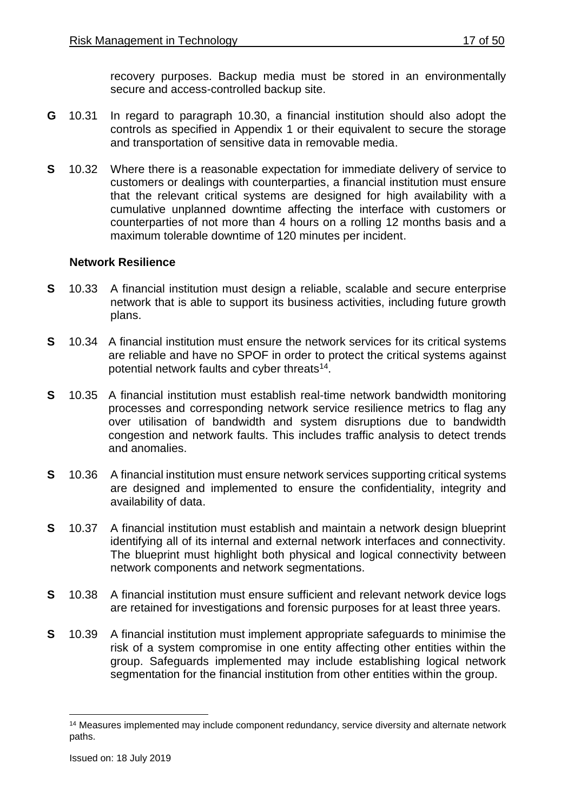recovery purposes. Backup media must be stored in an environmentally secure and access-controlled backup site.

- **G** 10.31 In regard to paragraph 10.30, a financial institution should also adopt the controls as specified in Appendix 1 or their equivalent to secure the storage and transportation of sensitive data in removable media.
- **S** 10.32 Where there is a reasonable expectation for immediate delivery of service to customers or dealings with counterparties, a financial institution must ensure that the relevant critical systems are designed for high availability with a cumulative unplanned downtime affecting the interface with customers or counterparties of not more than 4 hours on a rolling 12 months basis and a maximum tolerable downtime of 120 minutes per incident.

#### **Network Resilience**

- **S** 10.33 A financial institution must design a reliable, scalable and secure enterprise network that is able to support its business activities, including future growth plans.
- **S** 10.34 A financial institution must ensure the network services for its critical systems are reliable and have no SPOF in order to protect the critical systems against potential network faults and cyber threats<sup>14</sup>.
- **S** 10.35 A financial institution must establish real-time network bandwidth monitoring processes and corresponding network service resilience metrics to flag any over utilisation of bandwidth and system disruptions due to bandwidth congestion and network faults. This includes traffic analysis to detect trends and anomalies.
- **S** 10.36 A financial institution must ensure network services supporting critical systems are designed and implemented to ensure the confidentiality, integrity and availability of data.
- **S** 10.37 A financial institution must establish and maintain a network design blueprint identifying all of its internal and external network interfaces and connectivity. The blueprint must highlight both physical and logical connectivity between network components and network segmentations.
- **S** 10.38 A financial institution must ensure sufficient and relevant network device logs are retained for investigations and forensic purposes for at least three years.
- **S** 10.39 A financial institution must implement appropriate safeguards to minimise the risk of a system compromise in one entity affecting other entities within the group. Safeguards implemented may include establishing logical network segmentation for the financial institution from other entities within the group.

1

<sup>&</sup>lt;sup>14</sup> Measures implemented may include component redundancy, service diversity and alternate network paths.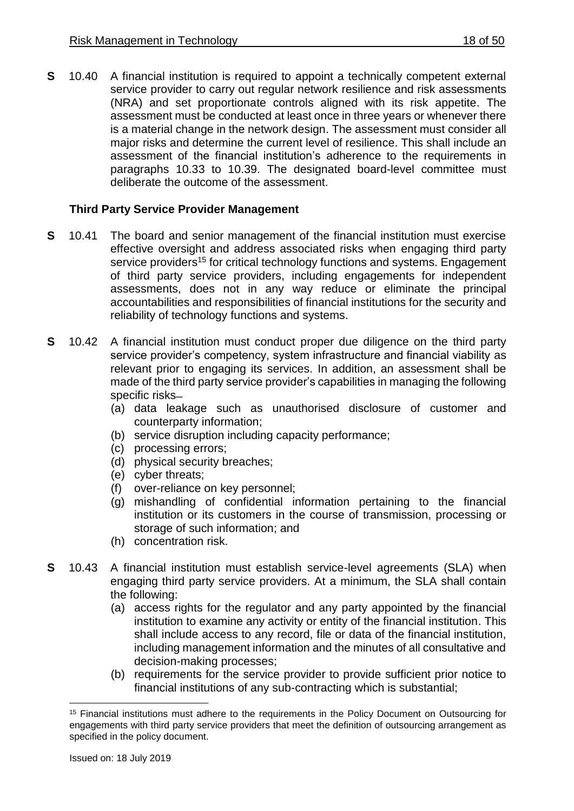**S** 10.40 A financial institution is required to appoint a technically competent external service provider to carry out regular network resilience and risk assessments (NRA) and set proportionate controls aligned with its risk appetite. The assessment must be conducted at least once in three years or whenever there is a material change in the network design. The assessment must consider all major risks and determine the current level of resilience. This shall include an assessment of the financial institution's adherence to the requirements in paragraphs 10.33 to 10.39. The designated board-level committee must deliberate the outcome of the assessment.

## **Third Party Service Provider Management**

- **S** 10.41 The board and senior management of the financial institution must exercise effective oversight and address associated risks when engaging third party service providers<sup>15</sup> for critical technology functions and systems. Engagement of third party service providers, including engagements for independent assessments, does not in any way reduce or eliminate the principal accountabilities and responsibilities of financial institutions for the security and reliability of technology functions and systems.
- **S** 10.42 A financial institution must conduct proper due diligence on the third party service provider's competency, system infrastructure and financial viability as relevant prior to engaging its services. In addition, an assessment shall be made of the third party service provider's capabilities in managing the following specific risks-
	- (a) data leakage such as unauthorised disclosure of customer and counterparty information;
	- (b) service disruption including capacity performance;
	- (c) processing errors;
	- (d) physical security breaches;
	- (e) cyber threats;
	- (f) over-reliance on key personnel;
	- (g) mishandling of confidential information pertaining to the financial institution or its customers in the course of transmission, processing or storage of such information; and
	- (h) concentration risk.
- **S** 10.43 A financial institution must establish service-level agreements (SLA) when engaging third party service providers. At a minimum, the SLA shall contain the following:
	- (a) access rights for the regulator and any party appointed by the financial institution to examine any activity or entity of the financial institution. This shall include access to any record, file or data of the financial institution, including management information and the minutes of all consultative and decision-making processes;
	- (b) requirements for the service provider to provide sufficient prior notice to financial institutions of any sub-contracting which is substantial;

 $\overline{a}$ <sup>15</sup> Financial institutions must adhere to the requirements in the Policy Document on Outsourcing for engagements with third party service providers that meet the definition of outsourcing arrangement as specified in the policy document.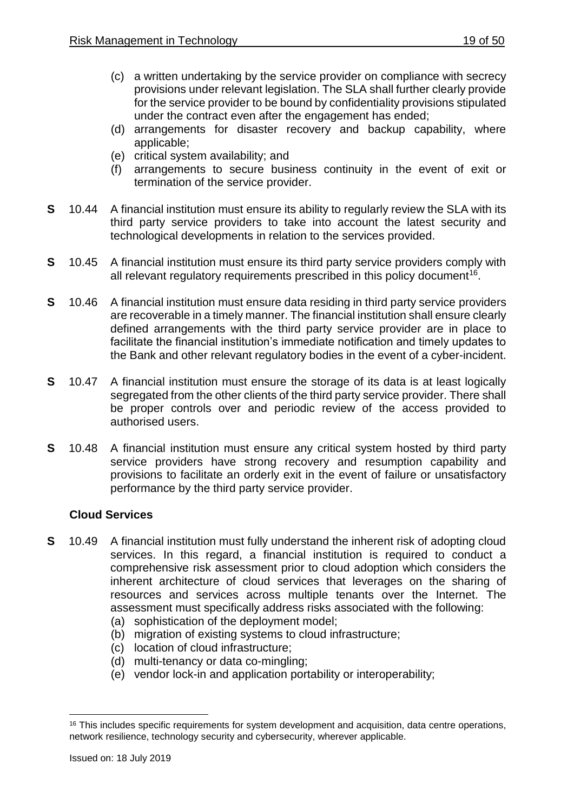- (c) a written undertaking by the service provider on compliance with secrecy provisions under relevant legislation. The SLA shall further clearly provide for the service provider to be bound by confidentiality provisions stipulated under the contract even after the engagement has ended;
- (d) arrangements for disaster recovery and backup capability, where applicable;
- (e) critical system availability; and
- (f) arrangements to secure business continuity in the event of exit or termination of the service provider.
- **S** 10.44 A financial institution must ensure its ability to regularly review the SLA with its third party service providers to take into account the latest security and technological developments in relation to the services provided.
- **S** 10.45 A financial institution must ensure its third party service providers comply with all relevant regulatory requirements prescribed in this policy document<sup>16</sup>.
- **S** 10.46 A financial institution must ensure data residing in third party service providers are recoverable in a timely manner. The financial institution shall ensure clearly defined arrangements with the third party service provider are in place to facilitate the financial institution's immediate notification and timely updates to the Bank and other relevant regulatory bodies in the event of a cyber-incident.
- **S** 10.47 A financial institution must ensure the storage of its data is at least logically segregated from the other clients of the third party service provider. There shall be proper controls over and periodic review of the access provided to authorised users.
- **S** 10.48 A financial institution must ensure any critical system hosted by third party service providers have strong recovery and resumption capability and provisions to facilitate an orderly exit in the event of failure or unsatisfactory performance by the third party service provider.

## **Cloud Services**

- **S** 10.49 A financial institution must fully understand the inherent risk of adopting cloud services. In this regard, a financial institution is required to conduct a comprehensive risk assessment prior to cloud adoption which considers the inherent architecture of cloud services that leverages on the sharing of resources and services across multiple tenants over the Internet. The assessment must specifically address risks associated with the following:
	- (a) sophistication of the deployment model;
	- (b) migration of existing systems to cloud infrastructure;
	- (c) location of cloud infrastructure;
	- (d) multi-tenancy or data co-mingling;
	- (e) vendor lock-in and application portability or interoperability;

1

<sup>&</sup>lt;sup>16</sup> This includes specific requirements for system development and acquisition, data centre operations, network resilience, technology security and cybersecurity, wherever applicable.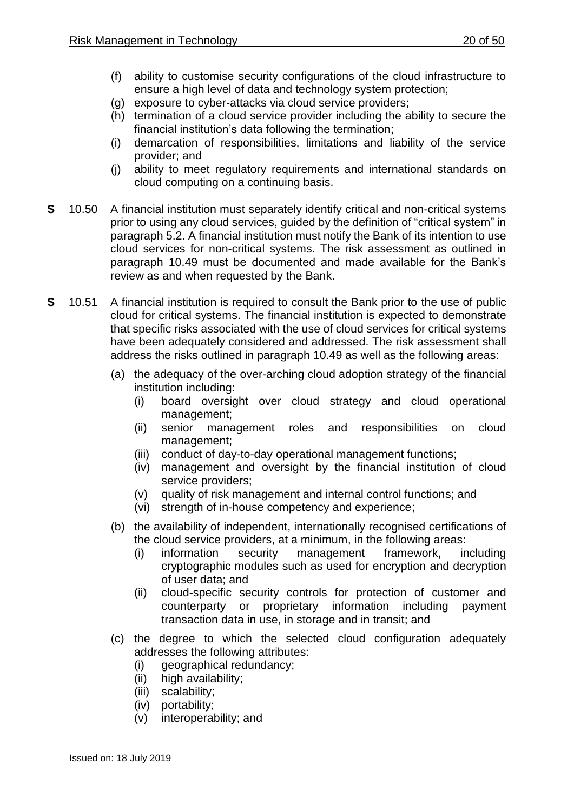- (f) ability to customise security configurations of the cloud infrastructure to ensure a high level of data and technology system protection;
- (g) exposure to cyber-attacks via cloud service providers;
- (h) termination of a cloud service provider including the ability to secure the financial institution's data following the termination;
- (i) demarcation of responsibilities, limitations and liability of the service provider; and
- (j) ability to meet regulatory requirements and international standards on cloud computing on a continuing basis.
- **S** 10.50 A financial institution must separately identify critical and non-critical systems prior to using any cloud services, guided by the definition of "critical system" in paragraph 5.2. A financial institution must notify the Bank of its intention to use cloud services for non-critical systems. The risk assessment as outlined in paragraph 10.49 must be documented and made available for the Bank's review as and when requested by the Bank.
- **S** 10.51 A financial institution is required to consult the Bank prior to the use of public cloud for critical systems. The financial institution is expected to demonstrate that specific risks associated with the use of cloud services for critical systems have been adequately considered and addressed. The risk assessment shall address the risks outlined in paragraph 10.49 as well as the following areas:
	- (a) the adequacy of the over-arching cloud adoption strategy of the financial institution including:
		- (i) board oversight over cloud strategy and cloud operational management;
		- (ii) senior management roles and responsibilities on cloud management;
		- (iii) conduct of day-to-day operational management functions;
		- (iv) management and oversight by the financial institution of cloud service providers;
		- (v) quality of risk management and internal control functions; and
		- (vi) strength of in-house competency and experience;
	- (b) the availability of independent, internationally recognised certifications of the cloud service providers, at a minimum, in the following areas:
		- (i) information security management framework, including cryptographic modules such as used for encryption and decryption of user data; and
		- (ii) cloud-specific security controls for protection of customer and counterparty or proprietary information including payment transaction data in use, in storage and in transit; and
	- (c) the degree to which the selected cloud configuration adequately addresses the following attributes:
		- (i) geographical redundancy;
		- (ii) high availability;
		- (iii) scalability;
		- (iv) portability;
		- (v) interoperability; and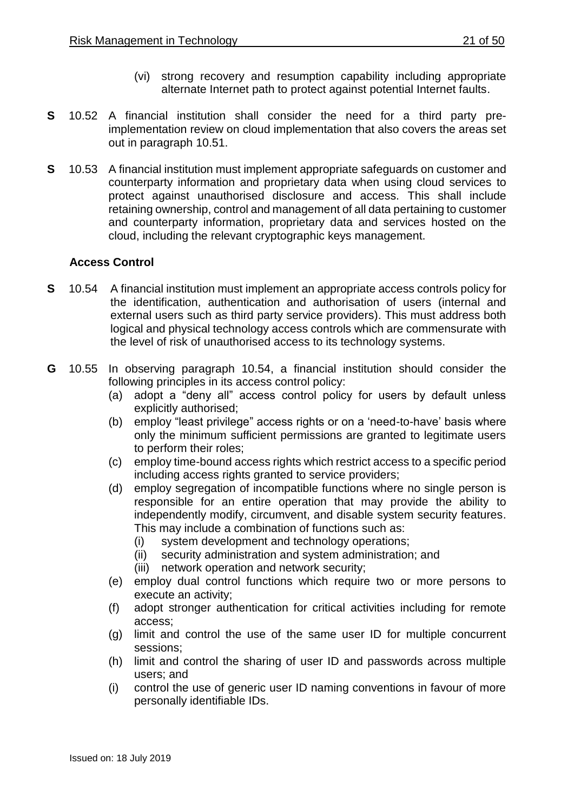- (vi) strong recovery and resumption capability including appropriate alternate Internet path to protect against potential Internet faults.
- **S** 10.52 A financial institution shall consider the need for a third party preimplementation review on cloud implementation that also covers the areas set out in paragraph 10.51.
- **S** 10.53 A financial institution must implement appropriate safeguards on customer and counterparty information and proprietary data when using cloud services to protect against unauthorised disclosure and access. This shall include retaining ownership, control and management of all data pertaining to customer and counterparty information, proprietary data and services hosted on the cloud, including the relevant cryptographic keys management.

## **Access Control**

- **S** 10.54 A financial institution must implement an appropriate access controls policy for the identification, authentication and authorisation of users (internal and external users such as third party service providers). This must address both logical and physical technology access controls which are commensurate with the level of risk of unauthorised access to its technology systems.
- **G** 10.55 In observing paragraph 10.54, a financial institution should consider the following principles in its access control policy:
	- (a) adopt a "deny all" access control policy for users by default unless explicitly authorised;
	- (b) employ "least privilege" access rights or on a 'need-to-have' basis where only the minimum sufficient permissions are granted to legitimate users to perform their roles;
	- (c) employ time-bound access rights which restrict access to a specific period including access rights granted to service providers;
	- (d) employ segregation of incompatible functions where no single person is responsible for an entire operation that may provide the ability to independently modify, circumvent, and disable system security features. This may include a combination of functions such as:
		- (i) system development and technology operations;
		- (ii) security administration and system administration; and
		- (iii) network operation and network security;
	- (e) employ dual control functions which require two or more persons to execute an activity;
	- (f) adopt stronger authentication for critical activities including for remote access;
	- (g) limit and control the use of the same user ID for multiple concurrent sessions;
	- (h) limit and control the sharing of user ID and passwords across multiple users; and
	- (i) control the use of generic user ID naming conventions in favour of more personally identifiable IDs.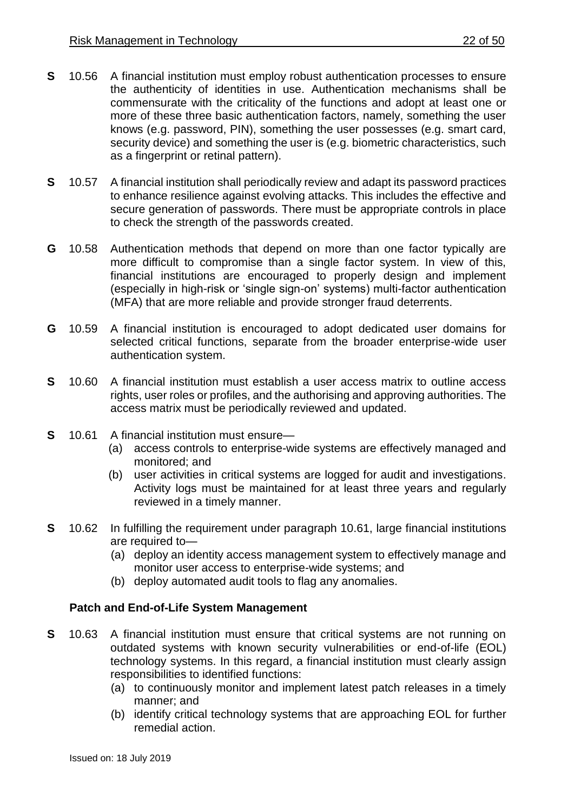- **S** 10.56 A financial institution must employ robust authentication processes to ensure the authenticity of identities in use. Authentication mechanisms shall be commensurate with the criticality of the functions and adopt at least one or more of these three basic authentication factors, namely, something the user knows (e.g. password, PIN), something the user possesses (e.g. smart card, security device) and something the user is (e.g. biometric characteristics, such as a fingerprint or retinal pattern).
- **S** 10.57 A financial institution shall periodically review and adapt its password practices to enhance resilience against evolving attacks. This includes the effective and secure generation of passwords. There must be appropriate controls in place to check the strength of the passwords created.
- **G** 10.58 Authentication methods that depend on more than one factor typically are more difficult to compromise than a single factor system. In view of this, financial institutions are encouraged to properly design and implement (especially in high-risk or 'single sign-on' systems) multi-factor authentication (MFA) that are more reliable and provide stronger fraud deterrents.
- **G** 10.59 A financial institution is encouraged to adopt dedicated user domains for selected critical functions, separate from the broader enterprise-wide user authentication system.
- **S** 10.60 A financial institution must establish a user access matrix to outline access rights, user roles or profiles, and the authorising and approving authorities. The access matrix must be periodically reviewed and updated.
- **S** 10.61 A financial institution must ensure—
	- (a) access controls to enterprise-wide systems are effectively managed and monitored; and
	- (b) user activities in critical systems are logged for audit and investigations. Activity logs must be maintained for at least three years and regularly reviewed in a timely manner.
- **S** 10.62 In fulfilling the requirement under paragraph 10.61, large financial institutions are required to—
	- (a) deploy an identity access management system to effectively manage and monitor user access to enterprise-wide systems; and
	- (b) deploy automated audit tools to flag any anomalies.

## **Patch and End-of-Life System Management**

- **S** 10.63 A financial institution must ensure that critical systems are not running on outdated systems with known security vulnerabilities or end-of-life (EOL) technology systems. In this regard, a financial institution must clearly assign responsibilities to identified functions:
	- (a) to continuously monitor and implement latest patch releases in a timely manner; and
	- (b) identify critical technology systems that are approaching EOL for further remedial action.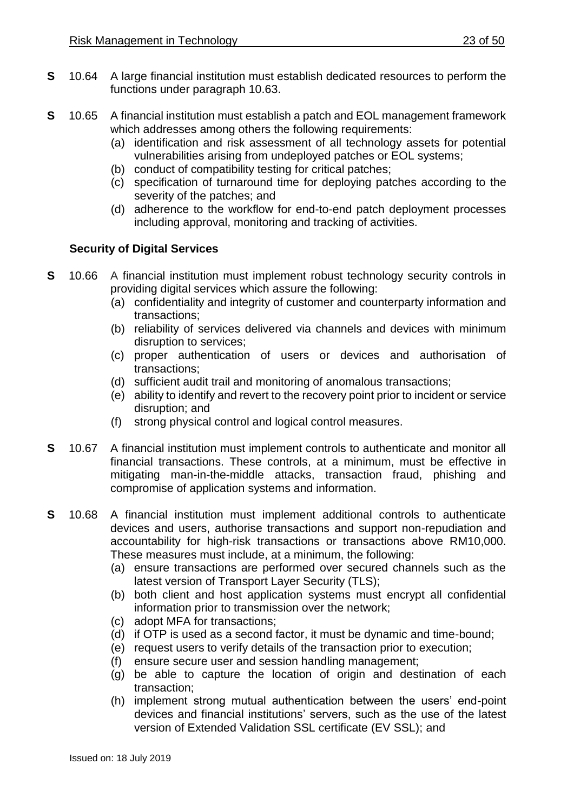- **S** 10.64 A large financial institution must establish dedicated resources to perform the functions under paragraph 10.63.
- **S** 10.65 A financial institution must establish a patch and EOL management framework which addresses among others the following requirements:
	- (a) identification and risk assessment of all technology assets for potential vulnerabilities arising from undeployed patches or EOL systems;
	- (b) conduct of compatibility testing for critical patches;
	- (c) specification of turnaround time for deploying patches according to the severity of the patches; and
	- (d) adherence to the workflow for end-to-end patch deployment processes including approval, monitoring and tracking of activities.

## **Security of Digital Services**

- **S** 10.66 A financial institution must implement robust technology security controls in providing digital services which assure the following:
	- (a) confidentiality and integrity of customer and counterparty information and transactions;
	- (b) reliability of services delivered via channels and devices with minimum disruption to services;
	- (c) proper authentication of users or devices and authorisation of transactions;
	- (d) sufficient audit trail and monitoring of anomalous transactions;
	- (e) ability to identify and revert to the recovery point prior to incident or service disruption; and
	- (f) strong physical control and logical control measures.
- **S** 10.67 A financial institution must implement controls to authenticate and monitor all financial transactions. These controls, at a minimum, must be effective in mitigating man-in-the-middle attacks, transaction fraud, phishing and compromise of application systems and information.
- **S** 10.68 A financial institution must implement additional controls to authenticate devices and users, authorise transactions and support non-repudiation and accountability for high-risk transactions or transactions above RM10,000. These measures must include, at a minimum, the following:
	- (a) ensure transactions are performed over secured channels such as the latest version of Transport Layer Security (TLS);
	- (b) both client and host application systems must encrypt all confidential information prior to transmission over the network;
	- (c) adopt MFA for transactions;
	- (d) if OTP is used as a second factor, it must be dynamic and time-bound;
	- (e) request users to verify details of the transaction prior to execution;
	- (f) ensure secure user and session handling management;
	- (g) be able to capture the location of origin and destination of each transaction;
	- (h) implement strong mutual authentication between the users' end-point devices and financial institutions' servers, such as the use of the latest version of Extended Validation SSL certificate (EV SSL); and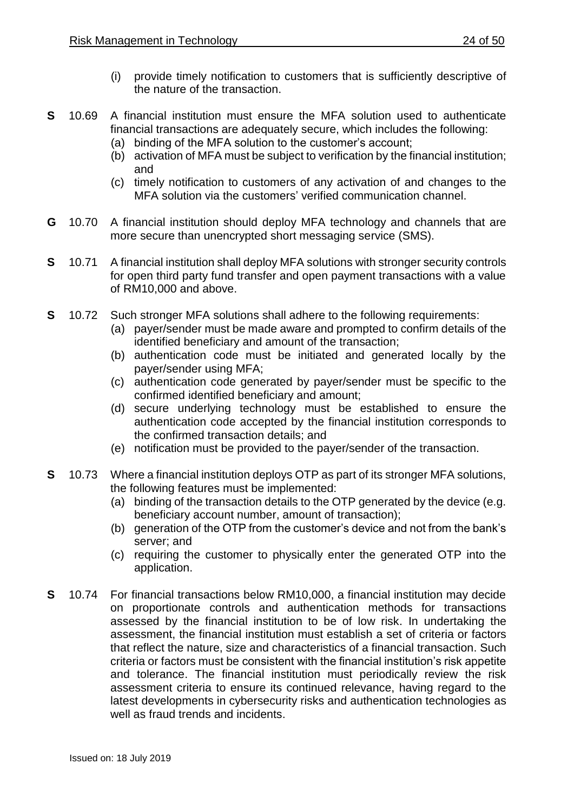- (i) provide timely notification to customers that is sufficiently descriptive of the nature of the transaction.
- **S** 10.69 A financial institution must ensure the MFA solution used to authenticate financial transactions are adequately secure, which includes the following:
	- (a) binding of the MFA solution to the customer's account;
	- (b) activation of MFA must be subject to verification by the financial institution; and
	- (c) timely notification to customers of any activation of and changes to the MFA solution via the customers' verified communication channel.
- **G** 10.70 A financial institution should deploy MFA technology and channels that are more secure than unencrypted short messaging service (SMS).
- **S** 10.71 A financial institution shall deploy MFA solutions with stronger security controls for open third party fund transfer and open payment transactions with a value of RM10,000 and above.
- **S** 10.72 Such stronger MFA solutions shall adhere to the following requirements:
	- (a) payer/sender must be made aware and prompted to confirm details of the identified beneficiary and amount of the transaction;
	- (b) authentication code must be initiated and generated locally by the payer/sender using MFA;
	- (c) authentication code generated by payer/sender must be specific to the confirmed identified beneficiary and amount;
	- (d) secure underlying technology must be established to ensure the authentication code accepted by the financial institution corresponds to the confirmed transaction details; and
	- (e) notification must be provided to the payer/sender of the transaction.
- **S** 10.73 Where a financial institution deploys OTP as part of its stronger MFA solutions, the following features must be implemented:
	- (a) binding of the transaction details to the OTP generated by the device (e.g. beneficiary account number, amount of transaction);
	- (b) generation of the OTP from the customer's device and not from the bank's server; and
	- (c) requiring the customer to physically enter the generated OTP into the application.
- **S** 10.74 For financial transactions below RM10,000, a financial institution may decide on proportionate controls and authentication methods for transactions assessed by the financial institution to be of low risk. In undertaking the assessment, the financial institution must establish a set of criteria or factors that reflect the nature, size and characteristics of a financial transaction. Such criteria or factors must be consistent with the financial institution's risk appetite and tolerance. The financial institution must periodically review the risk assessment criteria to ensure its continued relevance, having regard to the latest developments in cybersecurity risks and authentication technologies as well as fraud trends and incidents.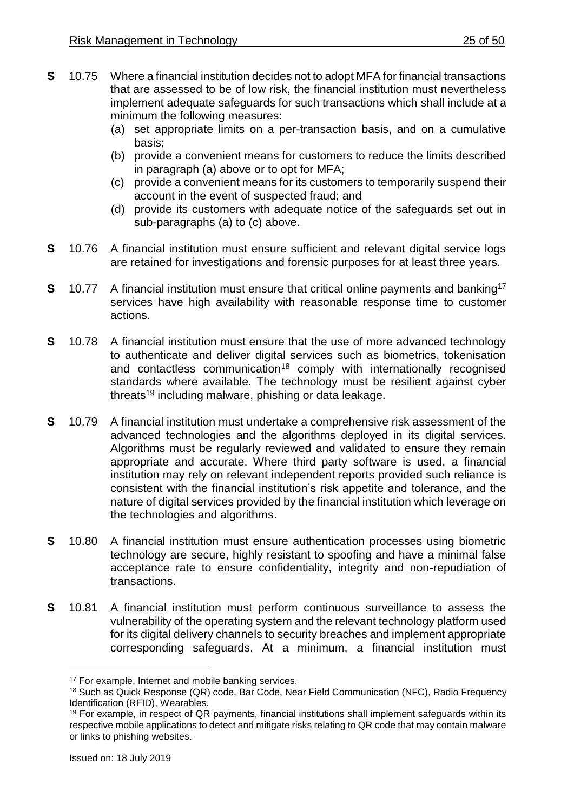- **S** 10.75 Where a financial institution decides not to adopt MFA for financial transactions that are assessed to be of low risk, the financial institution must nevertheless implement adequate safeguards for such transactions which shall include at a minimum the following measures:
	- (a) set appropriate limits on a per-transaction basis, and on a cumulative basis;
	- (b) provide a convenient means for customers to reduce the limits described in paragraph (a) above or to opt for MFA;
	- (c) provide a convenient means for its customers to temporarily suspend their account in the event of suspected fraud; and
	- (d) provide its customers with adequate notice of the safeguards set out in sub-paragraphs (a) to (c) above.
- **S** 10.76 A financial institution must ensure sufficient and relevant digital service logs are retained for investigations and forensic purposes for at least three years.
- **S** 10.77 A financial institution must ensure that critical online payments and banking<sup>17</sup> services have high availability with reasonable response time to customer actions.
- **S** 10.78 A financial institution must ensure that the use of more advanced technology to authenticate and deliver digital services such as biometrics, tokenisation and contactless communication<sup>18</sup> comply with internationally recognised standards where available. The technology must be resilient against cyber threats<sup>19</sup> including malware, phishing or data leakage.
- **S** 10.79 A financial institution must undertake a comprehensive risk assessment of the advanced technologies and the algorithms deployed in its digital services. Algorithms must be regularly reviewed and validated to ensure they remain appropriate and accurate. Where third party software is used, a financial institution may rely on relevant independent reports provided such reliance is consistent with the financial institution's risk appetite and tolerance, and the nature of digital services provided by the financial institution which leverage on the technologies and algorithms.
- **S** 10.80 A financial institution must ensure authentication processes using biometric technology are secure, highly resistant to spoofing and have a minimal false acceptance rate to ensure confidentiality, integrity and non-repudiation of transactions.
- **S** 10.81 A financial institution must perform continuous surveillance to assess the vulnerability of the operating system and the relevant technology platform used for its digital delivery channels to security breaches and implement appropriate corresponding safeguards. At a minimum, a financial institution must

1

<sup>&</sup>lt;sup>17</sup> For example, Internet and mobile banking services.

<sup>18</sup> Such as Quick Response (QR) code, Bar Code, Near Field Communication (NFC), Radio Frequency Identification (RFID), Wearables.

<sup>&</sup>lt;sup>19</sup> For example, in respect of QR payments, financial institutions shall implement safeguards within its respective mobile applications to detect and mitigate risks relating to QR code that may contain malware or links to phishing websites.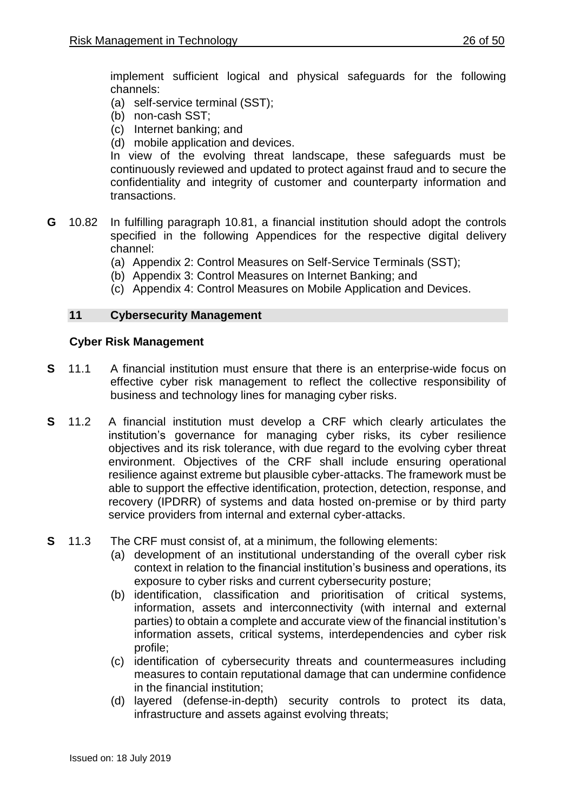implement sufficient logical and physical safeguards for the following channels:

- (a) self-service terminal (SST);
- (b) non-cash SST;
- (c) Internet banking; and
- (d) mobile application and devices.

In view of the evolving threat landscape, these safeguards must be continuously reviewed and updated to protect against fraud and to secure the confidentiality and integrity of customer and counterparty information and transactions.

- **G** 10.82 In fulfilling paragraph 10.81, a financial institution should adopt the controls specified in the following Appendices for the respective digital delivery channel:
	- (a) Appendix 2: Control Measures on Self-Service Terminals (SST);
	- (b) Appendix 3: Control Measures on Internet Banking; and
	- (c) Appendix 4: Control Measures on Mobile Application and Devices.

## <span id="page-25-0"></span>**11 Cybersecurity Management**

## **Cyber Risk Management**

- **S** 11.1 A financial institution must ensure that there is an enterprise-wide focus on effective cyber risk management to reflect the collective responsibility of business and technology lines for managing cyber risks.
- **S** 11.2 A financial institution must develop a CRF which clearly articulates the institution's governance for managing cyber risks, its cyber resilience objectives and its risk tolerance, with due regard to the evolving cyber threat environment. Objectives of the CRF shall include ensuring operational resilience against extreme but plausible cyber-attacks. The framework must be able to support the effective identification, protection, detection, response, and recovery (IPDRR) of systems and data hosted on-premise or by third party service providers from internal and external cyber-attacks.
- **S** 11.3 The CRF must consist of, at a minimum, the following elements:
	- (a) development of an institutional understanding of the overall cyber risk context in relation to the financial institution's business and operations, its exposure to cyber risks and current cybersecurity posture;
	- (b) identification, classification and prioritisation of critical systems, information, assets and interconnectivity (with internal and external parties) to obtain a complete and accurate view of the financial institution's information assets, critical systems, interdependencies and cyber risk profile;
	- (c) identification of cybersecurity threats and countermeasures including measures to contain reputational damage that can undermine confidence in the financial institution;
	- (d) layered (defense-in-depth) security controls to protect its data, infrastructure and assets against evolving threats;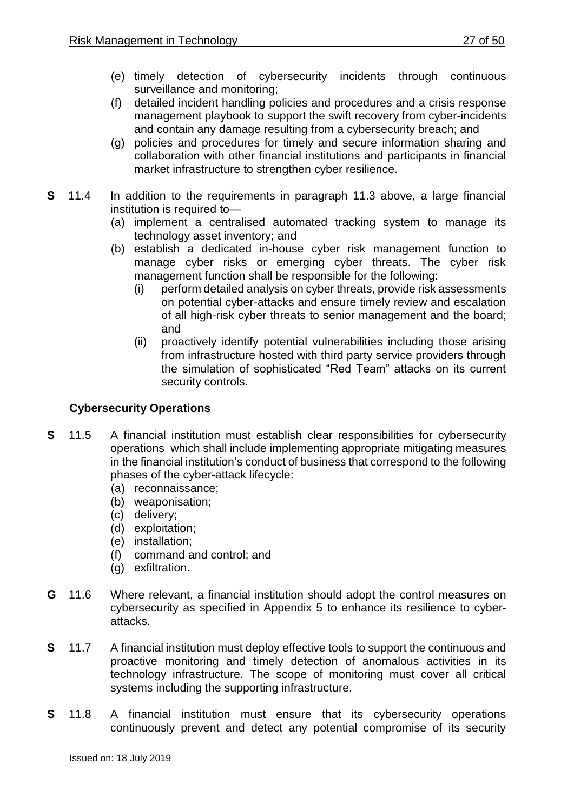- (e) timely detection of cybersecurity incidents through continuous surveillance and monitoring;
- (f) detailed incident handling policies and procedures and a crisis response management playbook to support the swift recovery from cyber-incidents and contain any damage resulting from a cybersecurity breach; and
- (g) policies and procedures for timely and secure information sharing and collaboration with other financial institutions and participants in financial market infrastructure to strengthen cyber resilience.
- **S** 11.4 In addition to the requirements in paragraph 11.3 above, a large financial institution is required to—
	- (a) implement a centralised automated tracking system to manage its technology asset inventory; and
	- (b) establish a dedicated in-house cyber risk management function to manage cyber risks or emerging cyber threats. The cyber risk management function shall be responsible for the following:
		- (i) perform detailed analysis on cyber threats, provide risk assessments on potential cyber-attacks and ensure timely review and escalation of all high-risk cyber threats to senior management and the board; and
		- (ii) proactively identify potential vulnerabilities including those arising from infrastructure hosted with third party service providers through the simulation of sophisticated "Red Team" attacks on its current security controls.

## **Cybersecurity Operations**

- **S** 11.5 A financial institution must establish clear responsibilities for cybersecurity operations which shall include implementing appropriate mitigating measures in the financial institution's conduct of business that correspond to the following phases of the cyber-attack lifecycle:
	- (a) reconnaissance;
	- (b) weaponisation;
	- (c) delivery;
	- (d) exploitation;
	- (e) installation;
	- (f) command and control; and
	- (g) exfiltration.
- **G** 11.6 Where relevant, a financial institution should adopt the control measures on cybersecurity as specified in Appendix 5 to enhance its resilience to cyberattacks.
- **S** 11.7 A financial institution must deploy effective tools to support the continuous and proactive monitoring and timely detection of anomalous activities in its technology infrastructure. The scope of monitoring must cover all critical systems including the supporting infrastructure.
- **S** 11.8 A financial institution must ensure that its cybersecurity operations continuously prevent and detect any potential compromise of its security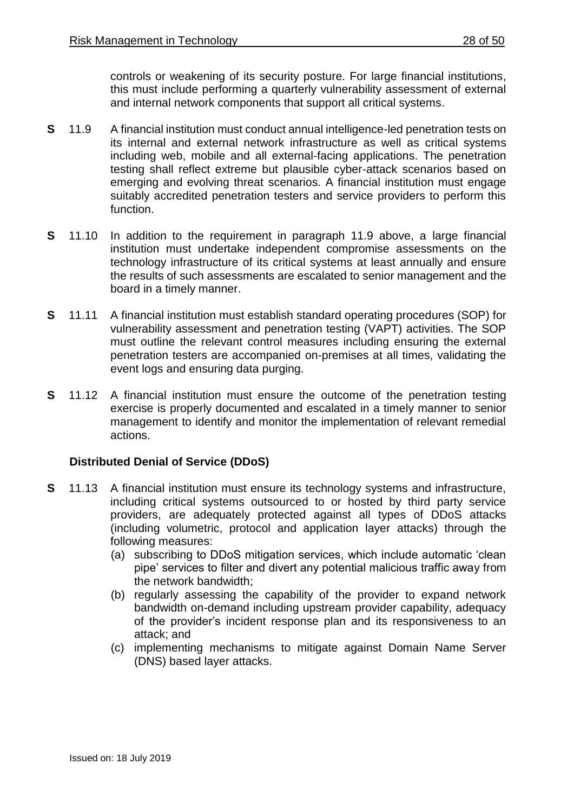controls or weakening of its security posture. For large financial institutions, this must include performing a quarterly vulnerability assessment of external and internal network components that support all critical systems.

- **S** 11.9 A financial institution must conduct annual intelligence-led penetration tests on its internal and external network infrastructure as well as critical systems including web, mobile and all external-facing applications. The penetration testing shall reflect extreme but plausible cyber-attack scenarios based on emerging and evolving threat scenarios. A financial institution must engage suitably accredited penetration testers and service providers to perform this function.
- **S** 11.10 In addition to the requirement in paragraph 11.9 above, a large financial institution must undertake independent compromise assessments on the technology infrastructure of its critical systems at least annually and ensure the results of such assessments are escalated to senior management and the board in a timely manner.
- **S** 11.11 A financial institution must establish standard operating procedures (SOP) for vulnerability assessment and penetration testing (VAPT) activities. The SOP must outline the relevant control measures including ensuring the external penetration testers are accompanied on-premises at all times, validating the event logs and ensuring data purging.
- **S** 11.12 A financial institution must ensure the outcome of the penetration testing exercise is properly documented and escalated in a timely manner to senior management to identify and monitor the implementation of relevant remedial actions.

## **Distributed Denial of Service (DDoS)**

- **S** 11.13 A financial institution must ensure its technology systems and infrastructure, including critical systems outsourced to or hosted by third party service providers, are adequately protected against all types of DDoS attacks (including volumetric, protocol and application layer attacks) through the following measures:
	- (a) subscribing to DDoS mitigation services, which include automatic 'clean pipe' services to filter and divert any potential malicious traffic away from the network bandwidth;
	- (b) regularly assessing the capability of the provider to expand network bandwidth on-demand including upstream provider capability, adequacy of the provider's incident response plan and its responsiveness to an attack; and
	- (c) implementing mechanisms to mitigate against Domain Name Server (DNS) based layer attacks.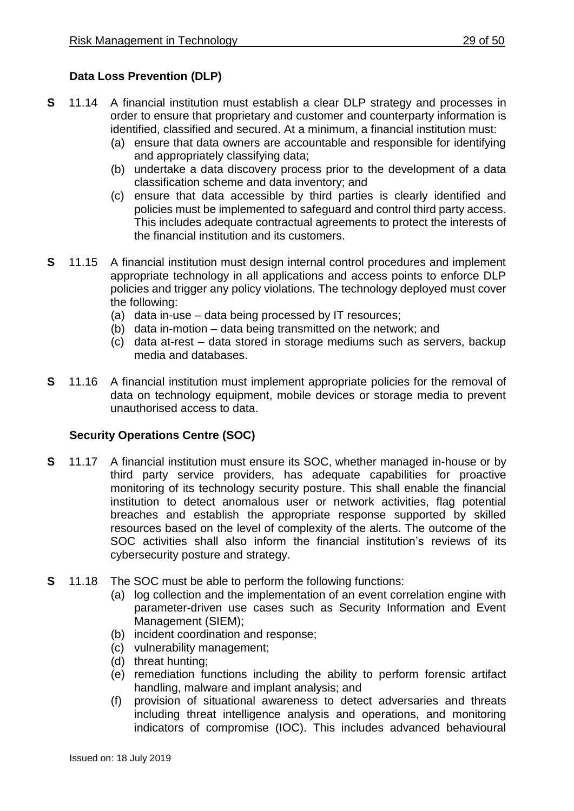## **Data Loss Prevention (DLP)**

- **S** 11.14 A financial institution must establish a clear DLP strategy and processes in order to ensure that proprietary and customer and counterparty information is identified, classified and secured. At a minimum, a financial institution must:
	- (a) ensure that data owners are accountable and responsible for identifying and appropriately classifying data;
	- (b) undertake a data discovery process prior to the development of a data classification scheme and data inventory; and
	- (c) ensure that data accessible by third parties is clearly identified and policies must be implemented to safeguard and control third party access. This includes adequate contractual agreements to protect the interests of the financial institution and its customers.
- **S** 11.15 A financial institution must design internal control procedures and implement appropriate technology in all applications and access points to enforce DLP policies and trigger any policy violations. The technology deployed must cover the following:
	- (a) data in-use data being processed by IT resources;
	- (b) data in-motion data being transmitted on the network; and
	- (c) data at-rest data stored in storage mediums such as servers, backup media and databases.
- **S** 11.16 A financial institution must implement appropriate policies for the removal of data on technology equipment, mobile devices or storage media to prevent unauthorised access to data.

## **Security Operations Centre (SOC)**

- **S** 11.17 A financial institution must ensure its SOC, whether managed in-house or by third party service providers, has adequate capabilities for proactive monitoring of its technology security posture. This shall enable the financial institution to detect anomalous user or network activities, flag potential breaches and establish the appropriate response supported by skilled resources based on the level of complexity of the alerts. The outcome of the SOC activities shall also inform the financial institution's reviews of its cybersecurity posture and strategy.
- **S** 11.18 The SOC must be able to perform the following functions:
	- (a) log collection and the implementation of an event correlation engine with parameter-driven use cases such as Security Information and Event Management (SIEM);
	- (b) incident coordination and response;
	- (c) vulnerability management;
	- (d) threat hunting;
	- (e) remediation functions including the ability to perform forensic artifact handling, malware and implant analysis; and
	- (f) provision of situational awareness to detect adversaries and threats including threat intelligence analysis and operations, and monitoring indicators of compromise (IOC). This includes advanced behavioural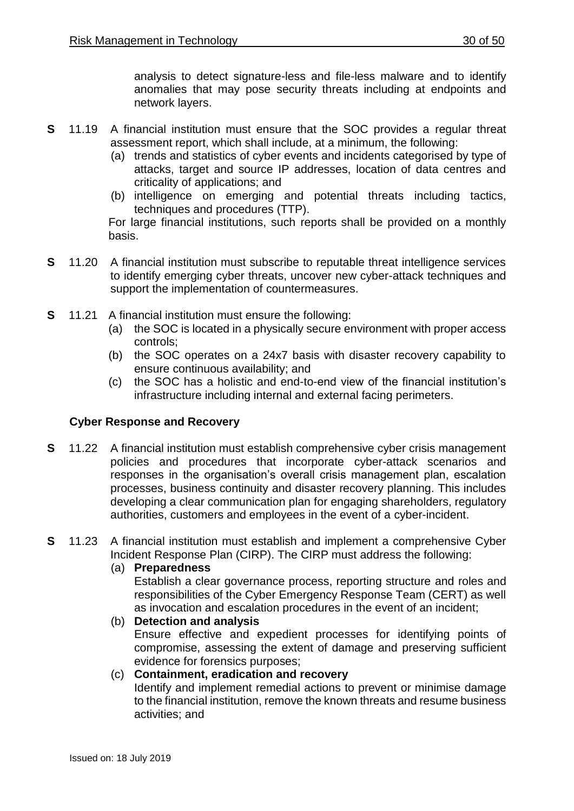analysis to detect signature-less and file-less malware and to identify anomalies that may pose security threats including at endpoints and network layers.

- **S** 11.19 A financial institution must ensure that the SOC provides a regular threat assessment report, which shall include, at a minimum, the following:
	- (a) trends and statistics of cyber events and incidents categorised by type of attacks, target and source IP addresses, location of data centres and criticality of applications; and
	- (b) intelligence on emerging and potential threats including tactics, techniques and procedures (TTP).

For large financial institutions, such reports shall be provided on a monthly basis.

- **S** 11.20 A financial institution must subscribe to reputable threat intelligence services to identify emerging cyber threats, uncover new cyber-attack techniques and support the implementation of countermeasures.
- **S** 11.21 A financial institution must ensure the following:
	- (a) the SOC is located in a physically secure environment with proper access controls;
	- (b) the SOC operates on a 24x7 basis with disaster recovery capability to ensure continuous availability; and
	- (c) the SOC has a holistic and end-to-end view of the financial institution's infrastructure including internal and external facing perimeters.

## **Cyber Response and Recovery**

- **S** 11.22 A financial institution must establish comprehensive cyber crisis management policies and procedures that incorporate cyber-attack scenarios and responses in the organisation's overall crisis management plan, escalation processes, business continuity and disaster recovery planning. This includes developing a clear communication plan for engaging shareholders, regulatory authorities, customers and employees in the event of a cyber-incident.
- **S** 11.23 A financial institution must establish and implement a comprehensive Cyber Incident Response Plan (CIRP). The CIRP must address the following:
	- (a) **Preparedness**

Establish a clear governance process, reporting structure and roles and responsibilities of the Cyber Emergency Response Team (CERT) as well as invocation and escalation procedures in the event of an incident;

- (b) **Detection and analysis** Ensure effective and expedient processes for identifying points of compromise, assessing the extent of damage and preserving sufficient evidence for forensics purposes;
- (c) **Containment, eradication and recovery** Identify and implement remedial actions to prevent or minimise damage to the financial institution, remove the known threats and resume business activities; and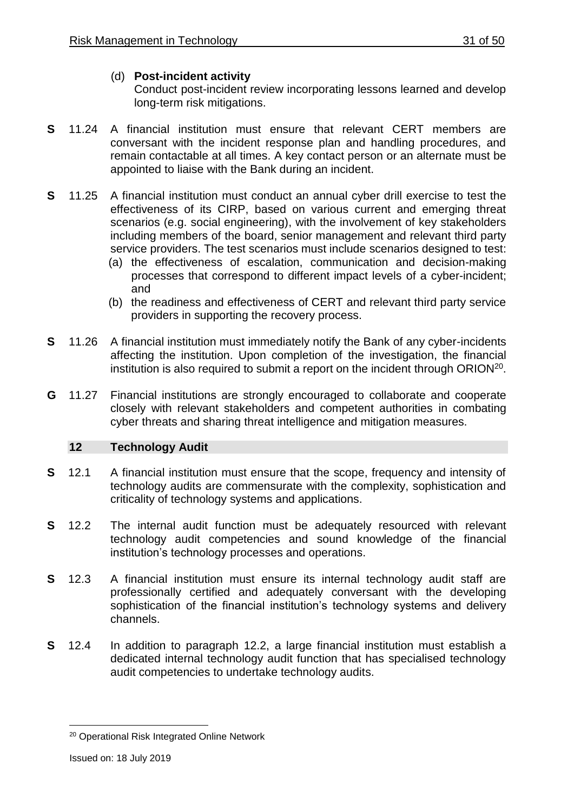## (d) **Post-incident activity**

Conduct post-incident review incorporating lessons learned and develop long-term risk mitigations.

- **S** 11.24 A financial institution must ensure that relevant CERT members are conversant with the incident response plan and handling procedures, and remain contactable at all times. A key contact person or an alternate must be appointed to liaise with the Bank during an incident.
- **S** 11.25 A financial institution must conduct an annual cyber drill exercise to test the effectiveness of its CIRP, based on various current and emerging threat scenarios (e.g. social engineering), with the involvement of key stakeholders including members of the board, senior management and relevant third party service providers. The test scenarios must include scenarios designed to test:
	- (a) the effectiveness of escalation, communication and decision-making processes that correspond to different impact levels of a cyber-incident; and
	- (b) the readiness and effectiveness of CERT and relevant third party service providers in supporting the recovery process.
- **S** 11.26 A financial institution must immediately notify the Bank of any cyber-incidents affecting the institution. Upon completion of the investigation, the financial institution is also required to submit a report on the incident through ORION<sup>20</sup>.
- **G** 11.27 Financial institutions are strongly encouraged to collaborate and cooperate closely with relevant stakeholders and competent authorities in combating cyber threats and sharing threat intelligence and mitigation measures.

## <span id="page-30-0"></span>**12 Technology Audit**

- **S** 12.1 A financial institution must ensure that the scope, frequency and intensity of technology audits are commensurate with the complexity, sophistication and criticality of technology systems and applications.
- **S** 12.2 The internal audit function must be adequately resourced with relevant technology audit competencies and sound knowledge of the financial institution's technology processes and operations.
- **S** 12.3 A financial institution must ensure its internal technology audit staff are professionally certified and adequately conversant with the developing sophistication of the financial institution's technology systems and delivery channels.
- **S** 12.4 In addition to paragraph 12.2, a large financial institution must establish a dedicated internal technology audit function that has specialised technology audit competencies to undertake technology audits.

<sup>1</sup> <sup>20</sup> Operational Risk Integrated Online Network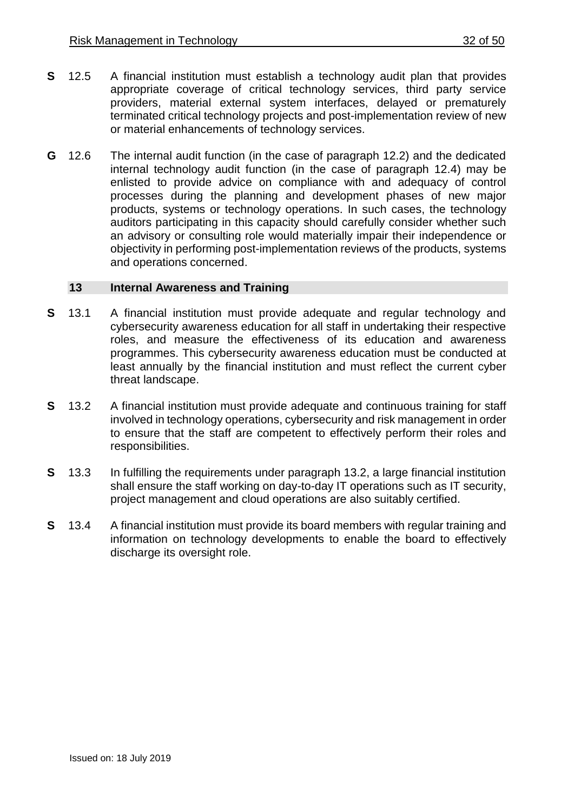- **S** 12.5 A financial institution must establish a technology audit plan that provides appropriate coverage of critical technology services, third party service providers, material external system interfaces, delayed or prematurely terminated critical technology projects and post-implementation review of new or material enhancements of technology services.
- **G** 12.6 The internal audit function (in the case of paragraph 12.2) and the dedicated internal technology audit function (in the case of paragraph 12.4) may be enlisted to provide advice on compliance with and adequacy of control processes during the planning and development phases of new major products, systems or technology operations. In such cases, the technology auditors participating in this capacity should carefully consider whether such an advisory or consulting role would materially impair their independence or objectivity in performing post-implementation reviews of the products, systems and operations concerned.

#### <span id="page-31-0"></span>**13 Internal Awareness and Training**

- **S** 13.1 A financial institution must provide adequate and regular technology and cybersecurity awareness education for all staff in undertaking their respective roles, and measure the effectiveness of its education and awareness programmes. This cybersecurity awareness education must be conducted at least annually by the financial institution and must reflect the current cyber threat landscape.
- **S** 13.2 A financial institution must provide adequate and continuous training for staff involved in technology operations, cybersecurity and risk management in order to ensure that the staff are competent to effectively perform their roles and responsibilities.
- **S** 13.3 In fulfilling the requirements under paragraph 13.2, a large financial institution shall ensure the staff working on day-to-day IT operations such as IT security, project management and cloud operations are also suitably certified.
- **S** 13.4 A financial institution must provide its board members with regular training and information on technology developments to enable the board to effectively discharge its oversight role.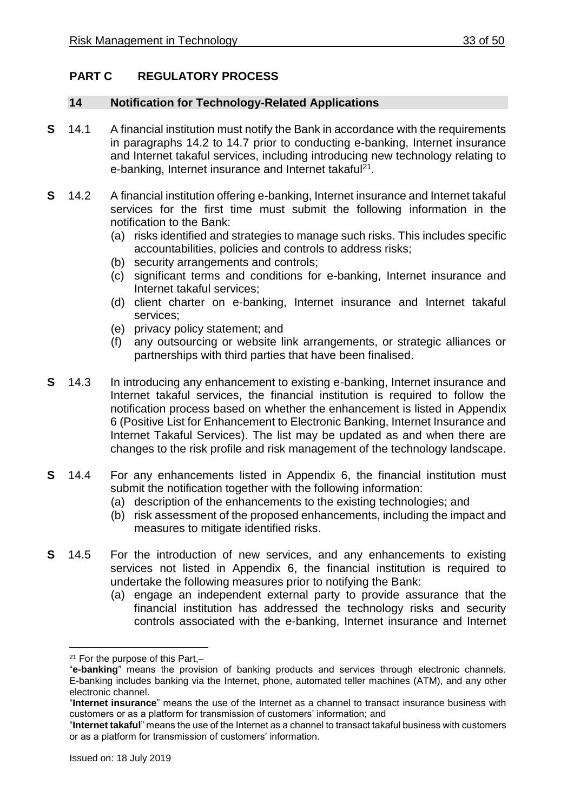## <span id="page-32-0"></span>**PART C REGULATORY PROCESS**

#### <span id="page-32-1"></span>**14 Notification for Technology-Related Applications**

- **S** 14.1 A financial institution must notify the Bank in accordance with the requirements in paragraphs 14.2 to 14.7 prior to conducting e-banking, Internet insurance and Internet takaful services, including introducing new technology relating to e-banking, Internet insurance and Internet takaful<sup>21</sup>.
- **S** 14.2 A financial institution offering e-banking, Internet insurance and Internet takaful services for the first time must submit the following information in the notification to the Bank:
	- (a) risks identified and strategies to manage such risks. This includes specific accountabilities, policies and controls to address risks;
	- (b) security arrangements and controls;
	- (c) significant terms and conditions for e-banking, Internet insurance and Internet takaful services;
	- (d) client charter on e-banking, Internet insurance and Internet takaful services;
	- (e) privacy policy statement; and
	- (f) any outsourcing or website link arrangements, or strategic alliances or partnerships with third parties that have been finalised.
- **S** 14.3 In introducing any enhancement to existing e-banking, Internet insurance and Internet takaful services, the financial institution is required to follow the notification process based on whether the enhancement is listed in Appendix 6 (Positive List for Enhancement to Electronic Banking, Internet Insurance and Internet Takaful Services). The list may be updated as and when there are changes to the risk profile and risk management of the technology landscape.
- **S** 14.4 For any enhancements listed in Appendix 6, the financial institution must submit the notification together with the following information:
	- (a) description of the enhancements to the existing technologies; and
	- (b) risk assessment of the proposed enhancements, including the impact and measures to mitigate identified risks.
- **S** 14.5 For the introduction of new services, and any enhancements to existing services not listed in Appendix 6, the financial institution is required to undertake the following measures prior to notifying the Bank:
	- (a) engage an independent external party to provide assurance that the financial institution has addressed the technology risks and security controls associated with the e-banking, Internet insurance and Internet

<u>.</u>

 $21$  For the purpose of this Part, $-$ 

<sup>&</sup>quot;**e-banking**" means the provision of banking products and services through electronic channels. E-banking includes banking via the Internet, phone, automated teller machines (ATM), and any other electronic channel.

<sup>&</sup>quot;**Internet insurance**" means the use of the Internet as a channel to transact insurance business with customers or as a platform for transmission of customers' information; and

<sup>&</sup>quot;**Internet takaful**" means the use of the Internet as a channel to transact takaful business with customers or as a platform for transmission of customers' information.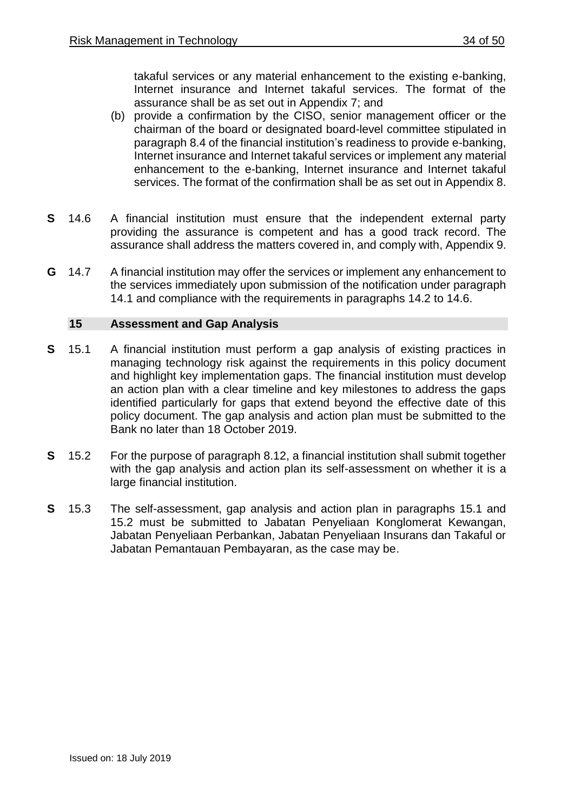takaful services or any material enhancement to the existing e-banking, Internet insurance and Internet takaful services. The format of the assurance shall be as set out in Appendix 7; and

- (b) provide a confirmation by the CISO, senior management officer or the chairman of the board or designated board-level committee stipulated in paragraph 8.4 of the financial institution's readiness to provide e-banking, Internet insurance and Internet takaful services or implement any material enhancement to the e-banking, Internet insurance and Internet takaful services. The format of the confirmation shall be as set out in Appendix 8.
- **S** 14.6 A financial institution must ensure that the independent external party providing the assurance is competent and has a good track record. The assurance shall address the matters covered in, and comply with, Appendix 9.
- **G** 14.7 A financial institution may offer the services or implement any enhancement to the services immediately upon submission of the notification under paragraph 14.1 and compliance with the requirements in paragraphs 14.2 to 14.6.

#### <span id="page-33-0"></span>**15 Assessment and Gap Analysis**

- **S** 15.1 A financial institution must perform a gap analysis of existing practices in managing technology risk against the requirements in this policy document and highlight key implementation gaps. The financial institution must develop an action plan with a clear timeline and key milestones to address the gaps identified particularly for gaps that extend beyond the effective date of this policy document. The gap analysis and action plan must be submitted to the Bank no later than 18 October 2019.
- **S** 15.2 For the purpose of paragraph 8.12, a financial institution shall submit together with the gap analysis and action plan its self-assessment on whether it is a large financial institution.
- **S** 15.3 The self-assessment, gap analysis and action plan in paragraphs 15.1 and 15.2 must be submitted to Jabatan Penyeliaan Konglomerat Kewangan, Jabatan Penyeliaan Perbankan, Jabatan Penyeliaan Insurans dan Takaful or Jabatan Pemantauan Pembayaran, as the case may be.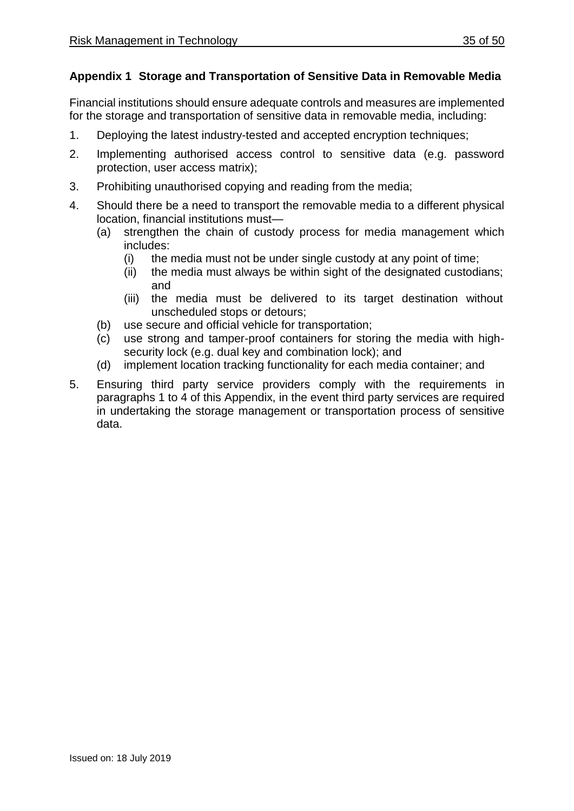## **Appendix 1 Storage and Transportation of Sensitive Data in Removable Media**

Financial institutions should ensure adequate controls and measures are implemented for the storage and transportation of sensitive data in removable media, including:

- 1. Deploying the latest industry-tested and accepted encryption techniques;
- 2. Implementing authorised access control to sensitive data (e.g. password protection, user access matrix);
- 3. Prohibiting unauthorised copying and reading from the media;
- 4. Should there be a need to transport the removable media to a different physical location, financial institutions must—
	- (a) strengthen the chain of custody process for media management which includes:
		- (i) the media must not be under single custody at any point of time;
		- (ii) the media must always be within sight of the designated custodians; and
		- (iii) the media must be delivered to its target destination without unscheduled stops or detours;
	- (b) use secure and official vehicle for transportation;
	- (c) use strong and tamper-proof containers for storing the media with highsecurity lock (e.g. dual key and combination lock); and
	- (d) implement location tracking functionality for each media container; and
- 5. Ensuring third party service providers comply with the requirements in paragraphs 1 to 4 of this Appendix, in the event third party services are required in undertaking the storage management or transportation process of sensitive data.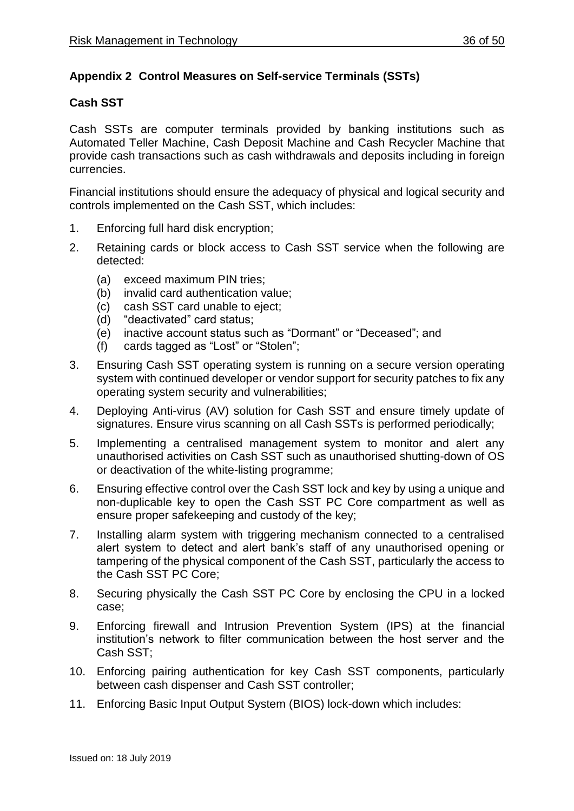## **Appendix 2 Control Measures on Self-service Terminals (SSTs)**

## **Cash SST**

Cash SSTs are computer terminals provided by banking institutions such as Automated Teller Machine, Cash Deposit Machine and Cash Recycler Machine that provide cash transactions such as cash withdrawals and deposits including in foreign currencies.

Financial institutions should ensure the adequacy of physical and logical security and controls implemented on the Cash SST, which includes:

- 1. Enforcing full hard disk encryption;
- 2. Retaining cards or block access to Cash SST service when the following are detected:
	- (a) exceed maximum PIN tries;
	- (b) invalid card authentication value;
	- (c) cash SST card unable to eject;
	- (d) "deactivated" card status;
	- (e) inactive account status such as "Dormant" or "Deceased"; and
	- (f) cards tagged as "Lost" or "Stolen";
- 3. Ensuring Cash SST operating system is running on a secure version operating system with continued developer or vendor support for security patches to fix any operating system security and vulnerabilities;
- 4. Deploying Anti-virus (AV) solution for Cash SST and ensure timely update of signatures. Ensure virus scanning on all Cash SSTs is performed periodically;
- 5. Implementing a centralised management system to monitor and alert any unauthorised activities on Cash SST such as unauthorised shutting-down of OS or deactivation of the white-listing programme;
- 6. Ensuring effective control over the Cash SST lock and key by using a unique and non-duplicable key to open the Cash SST PC Core compartment as well as ensure proper safekeeping and custody of the key;
- 7. Installing alarm system with triggering mechanism connected to a centralised alert system to detect and alert bank's staff of any unauthorised opening or tampering of the physical component of the Cash SST, particularly the access to the Cash SST PC Core;
- 8. Securing physically the Cash SST PC Core by enclosing the CPU in a locked case;
- 9. Enforcing firewall and Intrusion Prevention System (IPS) at the financial institution's network to filter communication between the host server and the Cash SST;
- 10. Enforcing pairing authentication for key Cash SST components, particularly between cash dispenser and Cash SST controller;
- 11. Enforcing Basic Input Output System (BIOS) lock-down which includes: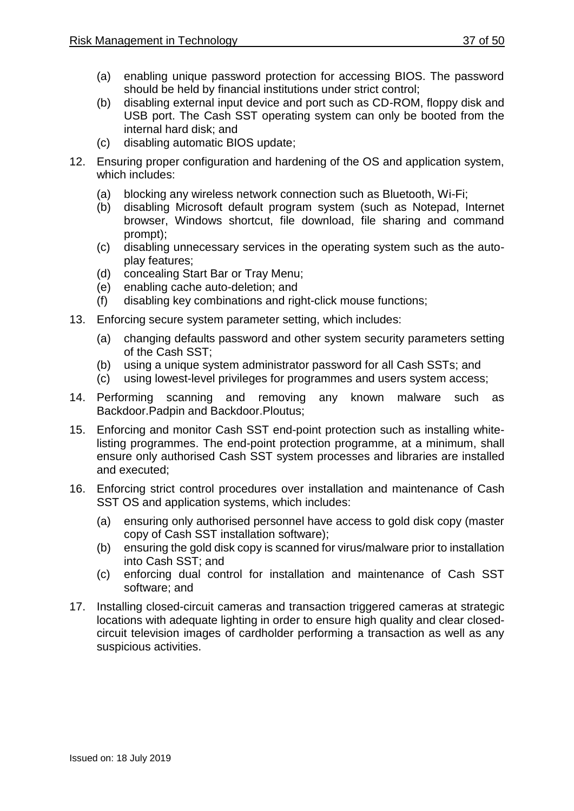- (a) enabling unique password protection for accessing BIOS. The password should be held by financial institutions under strict control;
- (b) disabling external input device and port such as CD-ROM, floppy disk and USB port. The Cash SST operating system can only be booted from the internal hard disk; and
- (c) disabling automatic BIOS update;
- 12. Ensuring proper configuration and hardening of the OS and application system, which includes:
	- (a) blocking any wireless network connection such as Bluetooth, Wi-Fi;
	- (b) disabling Microsoft default program system (such as Notepad, Internet browser, Windows shortcut, file download, file sharing and command prompt);
	- (c) disabling unnecessary services in the operating system such as the autoplay features;
	- (d) concealing Start Bar or Tray Menu;
	- (e) enabling cache auto-deletion; and
	- (f) disabling key combinations and right-click mouse functions;
- 13. Enforcing secure system parameter setting, which includes:
	- (a) changing defaults password and other system security parameters setting of the Cash SST;
	- (b) using a unique system administrator password for all Cash SSTs; and
	- (c) using lowest-level privileges for programmes and users system access;
- 14. Performing scanning and removing any known malware such as Backdoor.Padpin and Backdoor.Ploutus;
- 15. Enforcing and monitor Cash SST end-point protection such as installing whitelisting programmes. The end-point protection programme, at a minimum, shall ensure only authorised Cash SST system processes and libraries are installed and executed;
- 16. Enforcing strict control procedures over installation and maintenance of Cash SST OS and application systems, which includes:
	- (a) ensuring only authorised personnel have access to gold disk copy (master copy of Cash SST installation software);
	- (b) ensuring the gold disk copy is scanned for virus/malware prior to installation into Cash SST; and
	- (c) enforcing dual control for installation and maintenance of Cash SST software; and
- 17. Installing closed-circuit cameras and transaction triggered cameras at strategic locations with adequate lighting in order to ensure high quality and clear closedcircuit television images of cardholder performing a transaction as well as any suspicious activities.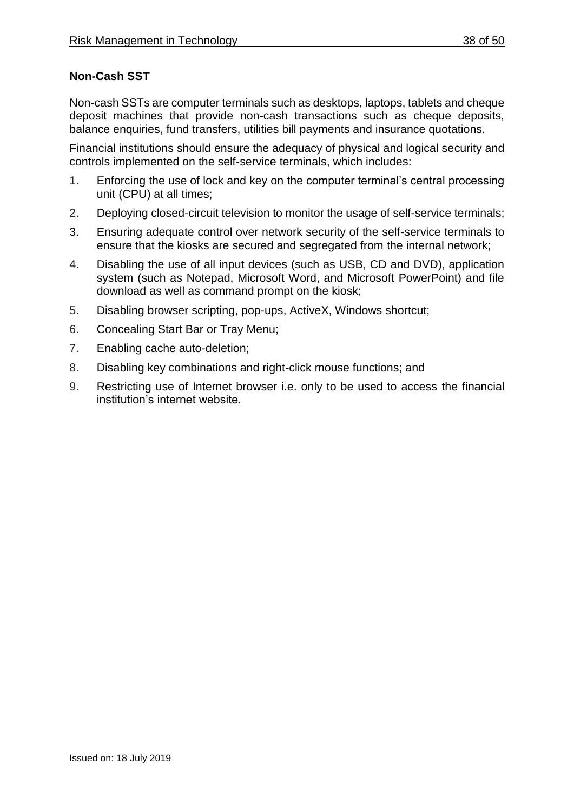## **Non-Cash SST**

Non-cash SSTs are computer terminals such as desktops, laptops, tablets and cheque deposit machines that provide non-cash transactions such as cheque deposits, balance enquiries, fund transfers, utilities bill payments and insurance quotations.

Financial institutions should ensure the adequacy of physical and logical security and controls implemented on the self-service terminals, which includes:

- 1. Enforcing the use of lock and key on the computer terminal's central processing unit (CPU) at all times;
- 2. Deploying closed-circuit television to monitor the usage of self-service terminals;
- 3. Ensuring adequate control over network security of the self-service terminals to ensure that the kiosks are secured and segregated from the internal network;
- 4. Disabling the use of all input devices (such as USB, CD and DVD), application system (such as Notepad, Microsoft Word, and Microsoft PowerPoint) and file download as well as command prompt on the kiosk;
- 5. Disabling browser scripting, pop-ups, ActiveX, Windows shortcut;
- 6. Concealing Start Bar or Tray Menu;
- 7. Enabling cache auto-deletion;
- 8. Disabling key combinations and right-click mouse functions; and
- 9. Restricting use of Internet browser i.e. only to be used to access the financial institution's internet website.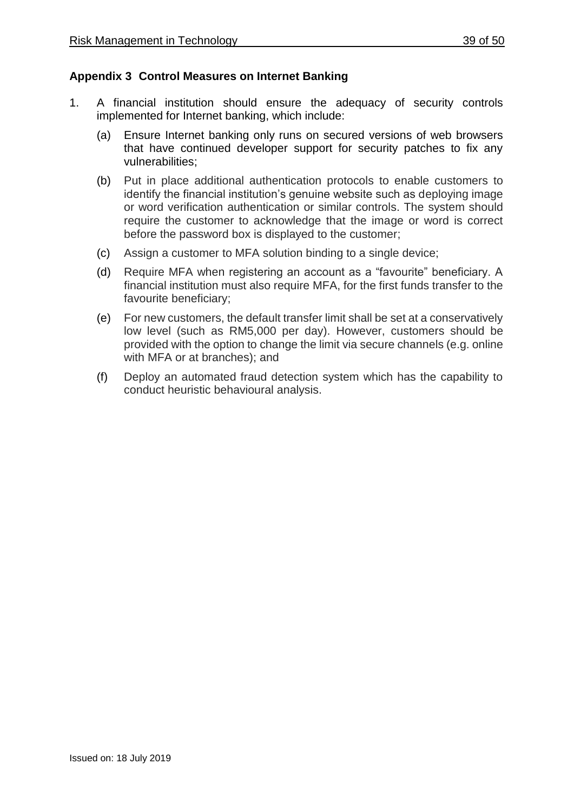## **Appendix 3 Control Measures on Internet Banking**

- 1. A financial institution should ensure the adequacy of security controls implemented for Internet banking, which include:
	- (a) Ensure Internet banking only runs on secured versions of web browsers that have continued developer support for security patches to fix any vulnerabilities;
	- (b) Put in place additional authentication protocols to enable customers to identify the financial institution's genuine website such as deploying image or word verification authentication or similar controls. The system should require the customer to acknowledge that the image or word is correct before the password box is displayed to the customer;
	- (c) Assign a customer to MFA solution binding to a single device;
	- (d) Require MFA when registering an account as a "favourite" beneficiary. A financial institution must also require MFA, for the first funds transfer to the favourite beneficiary;
	- (e) For new customers, the default transfer limit shall be set at a conservatively low level (such as RM5,000 per day). However, customers should be provided with the option to change the limit via secure channels (e.g. online with MFA or at branches); and
	- (f) Deploy an automated fraud detection system which has the capability to conduct heuristic behavioural analysis.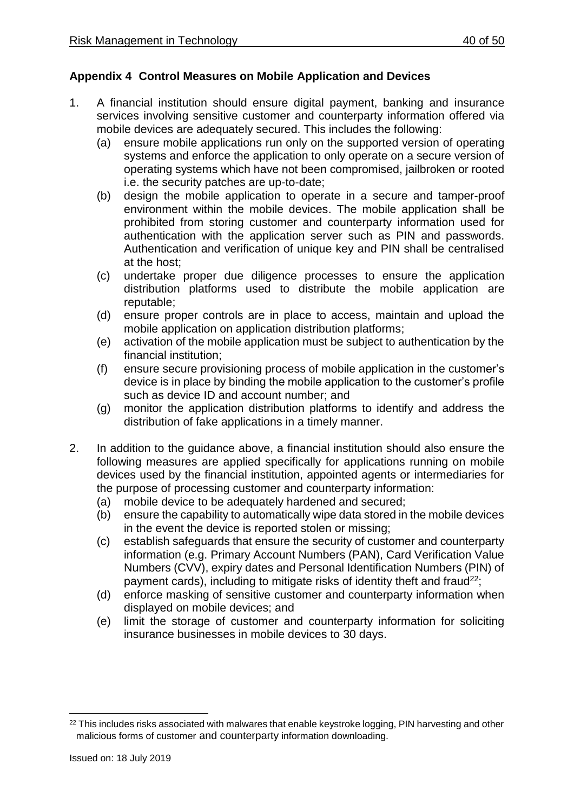## **Appendix 4 Control Measures on Mobile Application and Devices**

- 1. A financial institution should ensure digital payment, banking and insurance services involving sensitive customer and counterparty information offered via mobile devices are adequately secured. This includes the following:
	- (a) ensure mobile applications run only on the supported version of operating systems and enforce the application to only operate on a secure version of operating systems which have not been compromised, jailbroken or rooted i.e. the security patches are up-to-date;
	- (b) design the mobile application to operate in a secure and tamper-proof environment within the mobile devices. The mobile application shall be prohibited from storing customer and counterparty information used for authentication with the application server such as PIN and passwords. Authentication and verification of unique key and PIN shall be centralised at the host;
	- (c) undertake proper due diligence processes to ensure the application distribution platforms used to distribute the mobile application are reputable;
	- (d) ensure proper controls are in place to access, maintain and upload the mobile application on application distribution platforms;
	- (e) activation of the mobile application must be subject to authentication by the financial institution;
	- (f) ensure secure provisioning process of mobile application in the customer's device is in place by binding the mobile application to the customer's profile such as device ID and account number; and
	- (g) monitor the application distribution platforms to identify and address the distribution of fake applications in a timely manner.
- 2. In addition to the guidance above, a financial institution should also ensure the following measures are applied specifically for applications running on mobile devices used by the financial institution, appointed agents or intermediaries for the purpose of processing customer and counterparty information:
	- (a) mobile device to be adequately hardened and secured;
	- (b) ensure the capability to automatically wipe data stored in the mobile devices in the event the device is reported stolen or missing;
	- (c) establish safeguards that ensure the security of customer and counterparty information (e.g. Primary Account Numbers (PAN), Card Verification Value Numbers (CVV), expiry dates and Personal Identification Numbers (PIN) of payment cards), including to mitigate risks of identity theft and fraud<sup>22</sup>;
	- (d) enforce masking of sensitive customer and counterparty information when displayed on mobile devices; and
	- (e) limit the storage of customer and counterparty information for soliciting insurance businesses in mobile devices to 30 days.

<sup>1</sup> <sup>22</sup> This includes risks associated with malwares that enable keystroke logging, PIN harvesting and other malicious forms of customer and counterparty information downloading.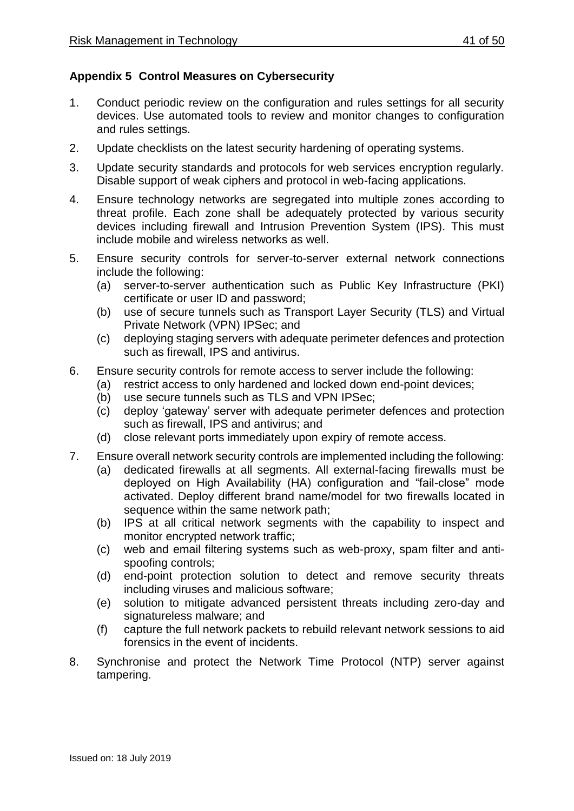## **Appendix 5 Control Measures on Cybersecurity**

- 1. Conduct periodic review on the configuration and rules settings for all security devices. Use automated tools to review and monitor changes to configuration and rules settings.
- 2. Update checklists on the latest security hardening of operating systems.
- 3. Update security standards and protocols for web services encryption regularly. Disable support of weak ciphers and protocol in web-facing applications.
- 4. Ensure technology networks are segregated into multiple zones according to threat profile. Each zone shall be adequately protected by various security devices including firewall and Intrusion Prevention System (IPS). This must include mobile and wireless networks as well.
- 5. Ensure security controls for server-to-server external network connections include the following:
	- (a) server-to-server authentication such as Public Key Infrastructure (PKI) certificate or user ID and password;
	- (b) use of secure tunnels such as Transport Layer Security (TLS) and Virtual Private Network (VPN) IPSec; and
	- (c) deploying staging servers with adequate perimeter defences and protection such as firewall, IPS and antivirus.
- 6. Ensure security controls for remote access to server include the following:
	- (a) restrict access to only hardened and locked down end-point devices;
		- (b) use secure tunnels such as TLS and VPN IPSec;
		- (c) deploy 'gateway' server with adequate perimeter defences and protection such as firewall, IPS and antivirus; and
		- (d) close relevant ports immediately upon expiry of remote access.
- 7. Ensure overall network security controls are implemented including the following:
	- (a) dedicated firewalls at all segments. All external-facing firewalls must be deployed on High Availability (HA) configuration and "fail-close" mode activated. Deploy different brand name/model for two firewalls located in sequence within the same network path;
	- (b) IPS at all critical network segments with the capability to inspect and monitor encrypted network traffic;
	- (c) web and email filtering systems such as web-proxy, spam filter and antispoofing controls;
	- (d) end-point protection solution to detect and remove security threats including viruses and malicious software;
	- (e) solution to mitigate advanced persistent threats including zero-day and signatureless malware; and
	- (f) capture the full network packets to rebuild relevant network sessions to aid forensics in the event of incidents.
- 8. Synchronise and protect the Network Time Protocol (NTP) server against tampering.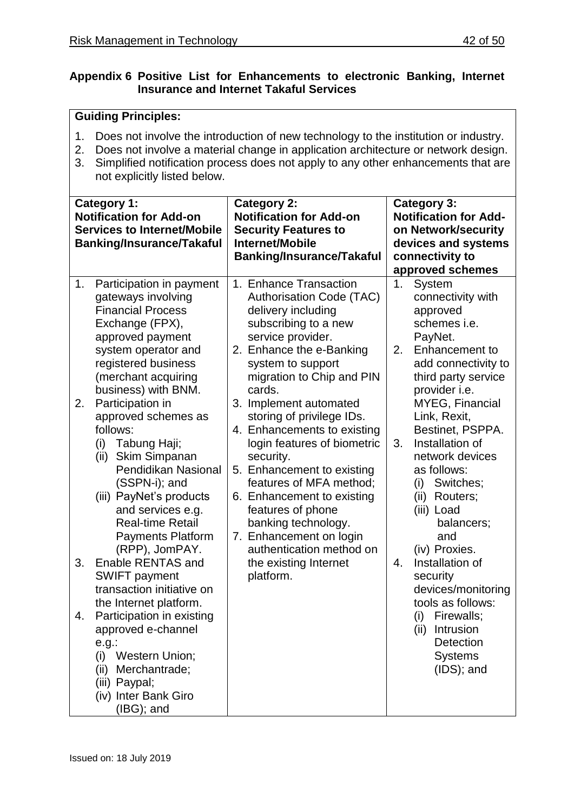## **Appendix 6 Positive List for Enhancements to electronic Banking, Internet Insurance and Internet Takaful Services**

- 1. Does not involve the introduction of new technology to the institution or industry.
- 2. Does not involve a material change in application architecture or network design.
- 3. Simplified notification process does not apply to any other enhancements that are not explicitly listed below.

|          | <b>Category 1:</b><br><b>Notification for Add-on</b><br><b>Services to Internet/Mobile</b><br><b>Banking/Insurance/Takaful</b>                                                                                                                                                                                                                                                                                                                                                        | <b>Category 2:</b><br><b>Notification for Add-on</b><br><b>Security Features to</b><br><b>Internet/Mobile</b><br><b>Banking/Insurance/Takaful</b>                                                                                                                                                                                                                                                                                                                                                                                         |                | <b>Category 3:</b><br><b>Notification for Add-</b><br>on Network/security<br>devices and systems<br>connectivity to<br>approved schemes                                                                                                                                                                                                                         |
|----------|---------------------------------------------------------------------------------------------------------------------------------------------------------------------------------------------------------------------------------------------------------------------------------------------------------------------------------------------------------------------------------------------------------------------------------------------------------------------------------------|-------------------------------------------------------------------------------------------------------------------------------------------------------------------------------------------------------------------------------------------------------------------------------------------------------------------------------------------------------------------------------------------------------------------------------------------------------------------------------------------------------------------------------------------|----------------|-----------------------------------------------------------------------------------------------------------------------------------------------------------------------------------------------------------------------------------------------------------------------------------------------------------------------------------------------------------------|
| 1.<br>2. | Participation in payment<br>gateways involving<br><b>Financial Process</b><br>Exchange (FPX),<br>approved payment<br>system operator and<br>registered business<br>(merchant acquiring<br>business) with BNM.<br>Participation in<br>approved schemes as<br>follows:<br>Tabung Haji;<br>(i)<br>Skim Simpanan<br>(ii)<br>Pendidikan Nasional<br>(SSPN-i); and<br>(iii) PayNet's products<br>and services e.g.<br><b>Real-time Retail</b><br><b>Payments Platform</b><br>(RPP), JomPAY. | 1. Enhance Transaction<br>Authorisation Code (TAC)<br>delivery including<br>subscribing to a new<br>service provider.<br>2. Enhance the e-Banking<br>system to support<br>migration to Chip and PIN<br>cards.<br>3. Implement automated<br>storing of privilege IDs.<br>4. Enhancements to existing<br>login features of biometric<br>security.<br>5. Enhancement to existing<br>features of MFA method;<br>6. Enhancement to existing<br>features of phone<br>banking technology.<br>7. Enhancement on login<br>authentication method on | 1.<br>2.<br>3. | System<br>connectivity with<br>approved<br>schemes i.e.<br>PayNet.<br>Enhancement to<br>add connectivity to<br>third party service<br>provider i.e.<br><b>MYEG, Financial</b><br>Link, Rexit,<br>Bestinet, PSPPA.<br>Installation of<br>network devices<br>as follows:<br>Switches;<br>(i)<br>(ii) Routers;<br>(iii) Load<br>balancers;<br>and<br>(iv) Proxies. |
| 3.       | Enable RENTAS and<br><b>SWIFT</b> payment<br>transaction initiative on<br>the Internet platform.                                                                                                                                                                                                                                                                                                                                                                                      | the existing Internet<br>platform.                                                                                                                                                                                                                                                                                                                                                                                                                                                                                                        | 4.             | Installation of<br>security<br>devices/monitoring<br>tools as follows:                                                                                                                                                                                                                                                                                          |
| 4.       | Participation in existing<br>approved e-channel<br>$e.g.$ :<br>Western Union;<br>(i)<br>Merchantrade;<br>(ii)<br>(iii) Paypal;<br>(iv) Inter Bank Giro<br>$(IBG)$ ; and                                                                                                                                                                                                                                                                                                               |                                                                                                                                                                                                                                                                                                                                                                                                                                                                                                                                           |                | (i)<br>Firewalls;<br>(ii)<br>Intrusion<br><b>Detection</b><br><b>Systems</b><br>$(IDS);$ and                                                                                                                                                                                                                                                                    |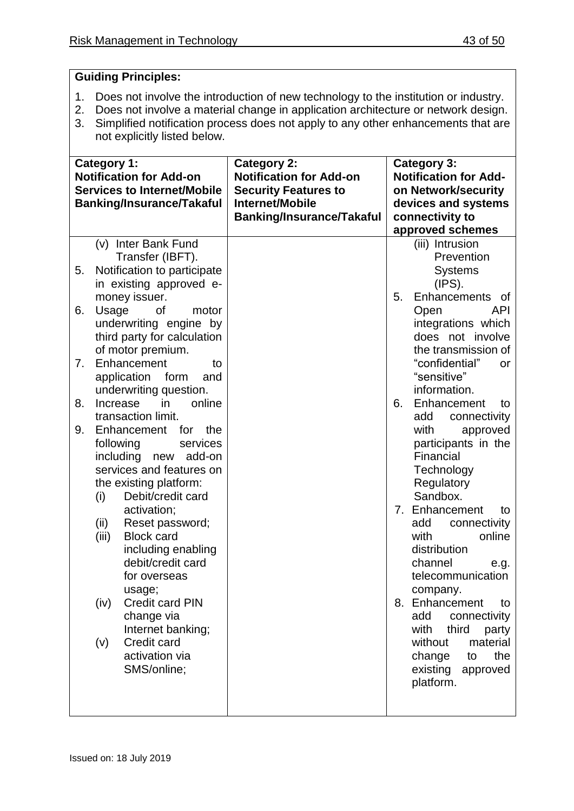- 1. Does not involve the introduction of new technology to the institution or industry.
- 2. Does not involve a material change in application architecture or network design.
- 3. Simplified notification process does not apply to any other enhancements that are not explicitly listed below.

| approved schemes<br>(v) Inter Bank Fund<br>(iii) Intrusion<br>Prevention<br>Transfer (IBFT).<br><b>Systems</b><br>Notification to participate<br>5.<br>in existing approved e-<br>(IPS).<br>Enhancements of<br>money issuer.<br>5.<br>Usage<br><b>API</b><br>6.<br>οf<br>motor<br>Open<br>underwriting engine by<br>integrations which<br>third party for calculation<br>does not involve<br>of motor premium.<br>the transmission of<br>Enhancement<br>"confidential"<br>7.<br>to<br><b>or</b><br>"sensitive"<br>application<br>form<br>and<br>information.<br>underwriting question.<br>8.<br>in<br>online<br>Enhancement<br>Increase<br>6.<br>to<br>transaction limit.<br>add<br>connectivity<br>9.<br>Enhancement<br>for<br>the<br>with<br>approved<br>participants in the<br>following<br>services<br>Financial<br>including new add-on<br>services and features on<br>Technology<br>Regulatory<br>the existing platform:<br>Sandbox.<br>Debit/credit card<br>(i)<br>Enhancement<br>activation;<br>7.<br>to<br>(ii)<br>Reset password;<br>connectivity<br>add<br><b>Block card</b><br>with<br>online<br>(iii)<br>including enabling<br>distribution<br>debit/credit card<br>channel<br>e.g.<br>telecommunication<br>for overseas<br>company.<br>usage;<br>8. Enhancement<br><b>Credit card PIN</b><br>(iv)<br>to<br>change via<br>add<br>connectivity<br>Internet banking;<br>with<br>third<br>party<br>Credit card<br>without<br>material<br>(v)<br>activation via<br>the<br>change<br>to<br>SMS/online;<br>existing<br>approved<br>platform. | <b>Category 1:</b><br><b>Notification for Add-on</b><br><b>Services to Internet/Mobile</b><br><b>Banking/Insurance/Takaful</b> | <b>Category 2:</b><br><b>Notification for Add-on</b><br><b>Security Features to</b><br>Internet/Mobile<br><b>Banking/Insurance/Takaful</b> | <b>Category 3:</b><br><b>Notification for Add-</b><br>on Network/security<br>devices and systems<br>connectivity to |
|-----------------------------------------------------------------------------------------------------------------------------------------------------------------------------------------------------------------------------------------------------------------------------------------------------------------------------------------------------------------------------------------------------------------------------------------------------------------------------------------------------------------------------------------------------------------------------------------------------------------------------------------------------------------------------------------------------------------------------------------------------------------------------------------------------------------------------------------------------------------------------------------------------------------------------------------------------------------------------------------------------------------------------------------------------------------------------------------------------------------------------------------------------------------------------------------------------------------------------------------------------------------------------------------------------------------------------------------------------------------------------------------------------------------------------------------------------------------------------------------------------------------------------------------------------|--------------------------------------------------------------------------------------------------------------------------------|--------------------------------------------------------------------------------------------------------------------------------------------|---------------------------------------------------------------------------------------------------------------------|
|                                                                                                                                                                                                                                                                                                                                                                                                                                                                                                                                                                                                                                                                                                                                                                                                                                                                                                                                                                                                                                                                                                                                                                                                                                                                                                                                                                                                                                                                                                                                                     |                                                                                                                                |                                                                                                                                            |                                                                                                                     |
|                                                                                                                                                                                                                                                                                                                                                                                                                                                                                                                                                                                                                                                                                                                                                                                                                                                                                                                                                                                                                                                                                                                                                                                                                                                                                                                                                                                                                                                                                                                                                     |                                                                                                                                |                                                                                                                                            |                                                                                                                     |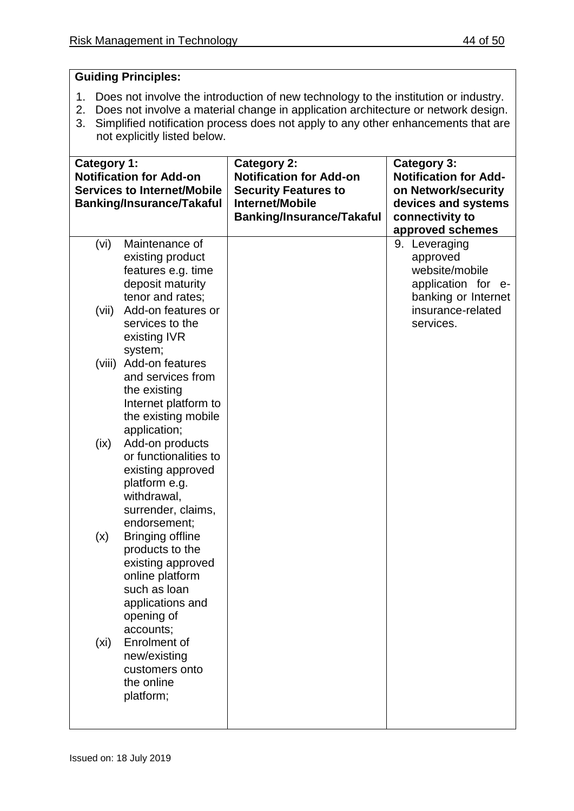- 1. Does not involve the introduction of new technology to the institution or industry.
- 2. Does not involve a material change in application architecture or network design.
- 3. Simplified notification process does not apply to any other enhancements that are not explicitly listed below.

| Category 1: | <b>Notification for Add-on</b><br><b>Services to Internet/Mobile</b><br><b>Banking/Insurance/Takaful</b>                                          | <b>Category 2:</b><br><b>Notification for Add-on</b><br><b>Security Features to</b><br>Internet/Mobile<br><b>Banking/Insurance/Takaful</b> | <b>Category 3:</b><br><b>Notification for Add-</b><br>on Network/security<br>devices and systems<br>connectivity to |
|-------------|---------------------------------------------------------------------------------------------------------------------------------------------------|--------------------------------------------------------------------------------------------------------------------------------------------|---------------------------------------------------------------------------------------------------------------------|
|             |                                                                                                                                                   |                                                                                                                                            | approved schemes                                                                                                    |
| (vi)        | Maintenance of<br>existing product<br>features e.g. time<br>deposit maturity<br>tenor and rates;                                                  |                                                                                                                                            | 9. Leveraging<br>approved<br>website/mobile<br>application for<br>$e-$<br>banking or Internet                       |
| (vii)       | Add-on features or<br>services to the<br>existing IVR<br>system;                                                                                  |                                                                                                                                            | insurance-related<br>services.                                                                                      |
| (viii)      | Add-on features<br>and services from<br>the existing<br>Internet platform to<br>the existing mobile<br>application;                               |                                                                                                                                            |                                                                                                                     |
| (ix)        | Add-on products<br>or functionalities to<br>existing approved<br>platform e.g.<br>withdrawal,<br>surrender, claims,<br>endorsement;               |                                                                                                                                            |                                                                                                                     |
| (x)         | <b>Bringing offline</b><br>products to the<br>existing approved<br>online platform<br>such as loan<br>applications and<br>opening of<br>accounts; |                                                                                                                                            |                                                                                                                     |
| (xi)        | Enrolment of<br>new/existing<br>customers onto<br>the online<br>platform;                                                                         |                                                                                                                                            |                                                                                                                     |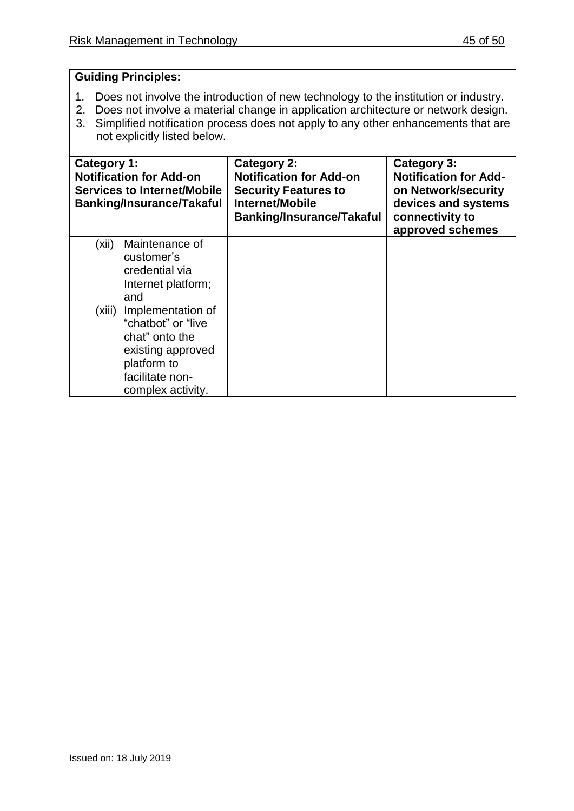- 1. Does not involve the introduction of new technology to the institution or industry.
- 2. Does not involve a material change in application architecture or network design.
- 3. Simplified notification process does not apply to any other enhancements that are not explicitly listed below.

| Category 1:<br><b>Notification for Add-on</b><br><b>Services to Internet/Mobile</b><br><b>Banking/Insurance/Takaful</b>                       | Category 2:<br><b>Notification for Add-on</b><br><b>Security Features to</b><br>Internet/Mobile<br><b>Banking/Insurance/Takaful</b> | Category 3:<br><b>Notification for Add-</b><br>on Network/security<br>devices and systems<br>connectivity to<br>approved schemes |
|-----------------------------------------------------------------------------------------------------------------------------------------------|-------------------------------------------------------------------------------------------------------------------------------------|----------------------------------------------------------------------------------------------------------------------------------|
| Maintenance of<br>(xii)<br>customer's<br>credential via<br>Internet platform;<br>and                                                          |                                                                                                                                     |                                                                                                                                  |
| (xiii) Implementation of<br>"chatbot" or "live"<br>chat" onto the<br>existing approved<br>platform to<br>facilitate non-<br>complex activity. |                                                                                                                                     |                                                                                                                                  |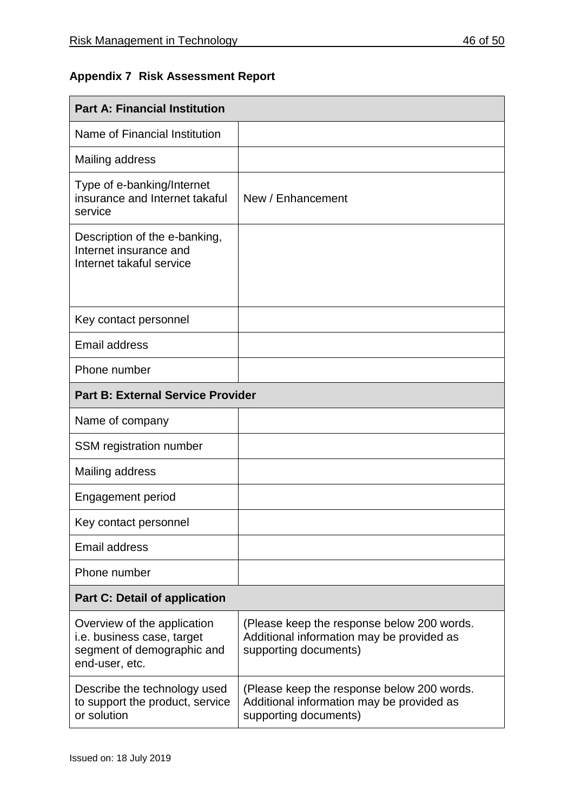## **Appendix 7 Risk Assessment Report**

| <b>Part A: Financial Institution</b>                                                                             |                                                                                                                  |  |  |
|------------------------------------------------------------------------------------------------------------------|------------------------------------------------------------------------------------------------------------------|--|--|
| Name of Financial Institution                                                                                    |                                                                                                                  |  |  |
| Mailing address                                                                                                  |                                                                                                                  |  |  |
| Type of e-banking/Internet<br>insurance and Internet takaful<br>service                                          | New / Enhancement                                                                                                |  |  |
| Description of the e-banking,<br>Internet insurance and<br>Internet takaful service                              |                                                                                                                  |  |  |
| Key contact personnel                                                                                            |                                                                                                                  |  |  |
| <b>Email address</b>                                                                                             |                                                                                                                  |  |  |
| Phone number                                                                                                     |                                                                                                                  |  |  |
| <b>Part B: External Service Provider</b>                                                                         |                                                                                                                  |  |  |
| Name of company                                                                                                  |                                                                                                                  |  |  |
| <b>SSM</b> registration number                                                                                   |                                                                                                                  |  |  |
| Mailing address                                                                                                  |                                                                                                                  |  |  |
| Engagement period                                                                                                |                                                                                                                  |  |  |
| Key contact personnel                                                                                            |                                                                                                                  |  |  |
| <b>Email address</b>                                                                                             |                                                                                                                  |  |  |
| Phone number                                                                                                     |                                                                                                                  |  |  |
| <b>Part C: Detail of application</b>                                                                             |                                                                                                                  |  |  |
| Overview of the application<br><i>i.e.</i> business case, target<br>segment of demographic and<br>end-user, etc. | (Please keep the response below 200 words.<br>Additional information may be provided as<br>supporting documents) |  |  |
| Describe the technology used<br>to support the product, service<br>or solution                                   | (Please keep the response below 200 words.<br>Additional information may be provided as<br>supporting documents) |  |  |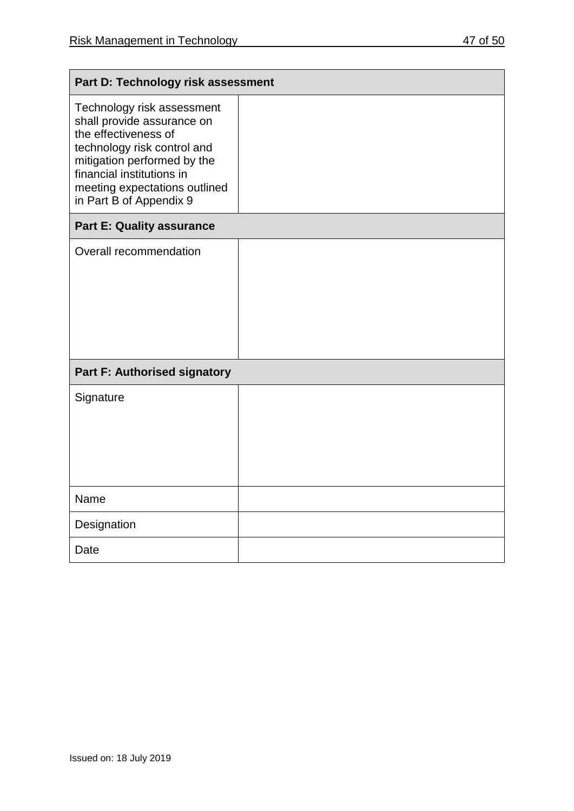| ΩТ | -50 |
|----|-----|
|    |     |

| Part D: Technology risk assessment                                                                                                                                                                                                      |  |  |  |
|-----------------------------------------------------------------------------------------------------------------------------------------------------------------------------------------------------------------------------------------|--|--|--|
| Technology risk assessment<br>shall provide assurance on<br>the effectiveness of<br>technology risk control and<br>mitigation performed by the<br>financial institutions in<br>meeting expectations outlined<br>in Part B of Appendix 9 |  |  |  |
| <b>Part E: Quality assurance</b>                                                                                                                                                                                                        |  |  |  |
| Overall recommendation                                                                                                                                                                                                                  |  |  |  |
| <b>Part F: Authorised signatory</b>                                                                                                                                                                                                     |  |  |  |
| Signature                                                                                                                                                                                                                               |  |  |  |
| Name                                                                                                                                                                                                                                    |  |  |  |
| Designation                                                                                                                                                                                                                             |  |  |  |
| Date                                                                                                                                                                                                                                    |  |  |  |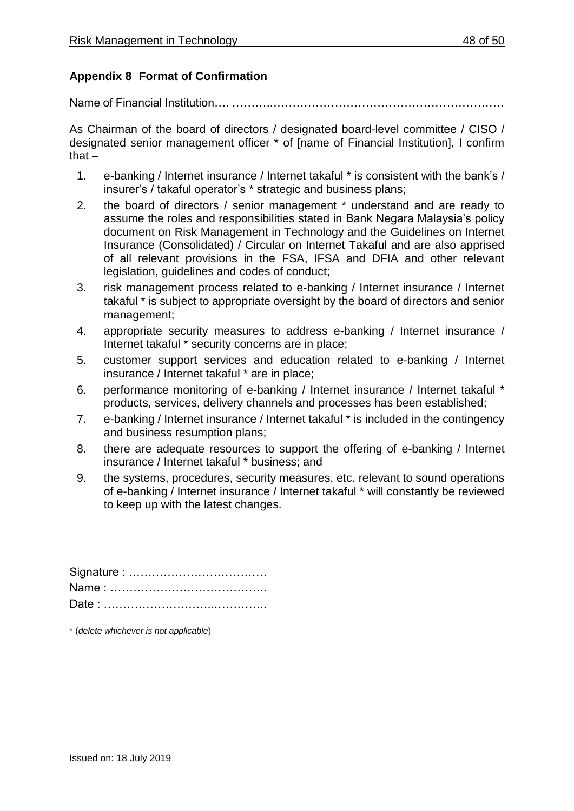## **Appendix 8 Format of Confirmation**

Name of Financial Institution…. ………..……………………………………………………

As Chairman of the board of directors / designated board-level committee / CISO / designated senior management officer \* of [name of Financial Institution], I confirm that $-$ 

- 1. e-banking / Internet insurance / Internet takaful \* is consistent with the bank's / insurer's / takaful operator's \* strategic and business plans;
- 2. the board of directors / senior management \* understand and are ready to assume the roles and responsibilities stated in Bank Negara Malaysia's policy document on Risk Management in Technology and the Guidelines on Internet Insurance (Consolidated) / Circular on Internet Takaful and are also apprised of all relevant provisions in the FSA, IFSA and DFIA and other relevant legislation, guidelines and codes of conduct;
- 3. risk management process related to e-banking / Internet insurance / Internet takaful \* is subject to appropriate oversight by the board of directors and senior management;
- 4. appropriate security measures to address e-banking / Internet insurance / Internet takaful \* security concerns are in place;
- 5. customer support services and education related to e-banking / Internet insurance / Internet takaful \* are in place;
- 6. performance monitoring of e-banking / Internet insurance / Internet takaful \* products, services, delivery channels and processes has been established;
- 7. e-banking / Internet insurance / Internet takaful \* is included in the contingency and business resumption plans;
- 8. there are adequate resources to support the offering of e-banking / Internet insurance / Internet takaful \* business; and
- 9. the systems, procedures, security measures, etc. relevant to sound operations of e-banking / Internet insurance / Internet takaful \* will constantly be reviewed to keep up with the latest changes.

\* (*delete whichever is not applicable*)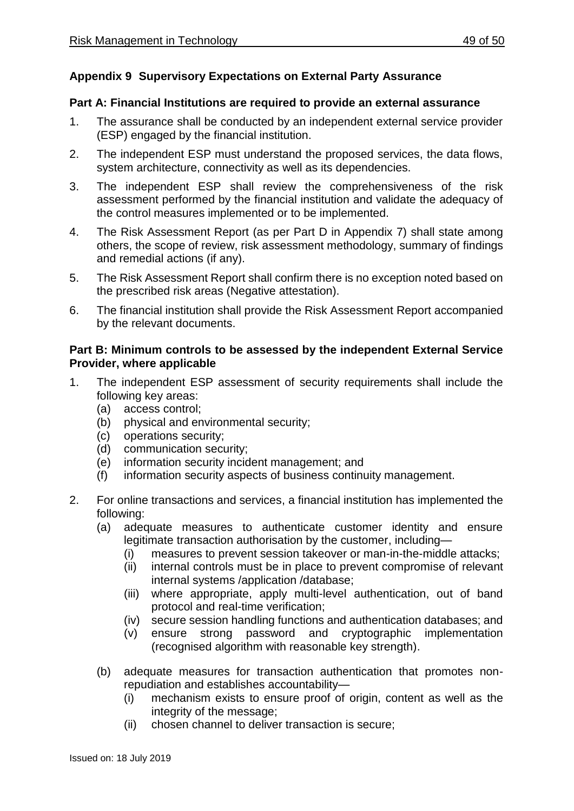## **Appendix 9 Supervisory Expectations on External Party Assurance**

#### **Part A: Financial Institutions are required to provide an external assurance**

- 1. The assurance shall be conducted by an independent external service provider (ESP) engaged by the financial institution.
- 2. The independent ESP must understand the proposed services, the data flows, system architecture, connectivity as well as its dependencies.
- 3. The independent ESP shall review the comprehensiveness of the risk assessment performed by the financial institution and validate the adequacy of the control measures implemented or to be implemented.
- 4. The Risk Assessment Report (as per Part D in Appendix 7) shall state among others, the scope of review, risk assessment methodology, summary of findings and remedial actions (if any).
- 5. The Risk Assessment Report shall confirm there is no exception noted based on the prescribed risk areas (Negative attestation).
- 6. The financial institution shall provide the Risk Assessment Report accompanied by the relevant documents.

## **Part B: Minimum controls to be assessed by the independent External Service Provider, where applicable**

- 1. The independent ESP assessment of security requirements shall include the following key areas:
	- (a) access control;
	- (b) physical and environmental security;
	- (c) operations security;
	- (d) communication security;
	- (e) information security incident management; and
	- (f) information security aspects of business continuity management.
- 2. For online transactions and services, a financial institution has implemented the following:
	- (a) adequate measures to authenticate customer identity and ensure legitimate transaction authorisation by the customer, including—
		- (i) measures to prevent session takeover or man-in-the-middle attacks;
		- (ii) internal controls must be in place to prevent compromise of relevant internal systems /application /database;
		- (iii) where appropriate, apply multi-level authentication, out of band protocol and real-time verification;
		- (iv) secure session handling functions and authentication databases; and
		- (v) ensure strong password and cryptographic implementation (recognised algorithm with reasonable key strength).
	- (b) adequate measures for transaction authentication that promotes nonrepudiation and establishes accountability—
		- (i) mechanism exists to ensure proof of origin, content as well as the integrity of the message;
		- (ii) chosen channel to deliver transaction is secure;